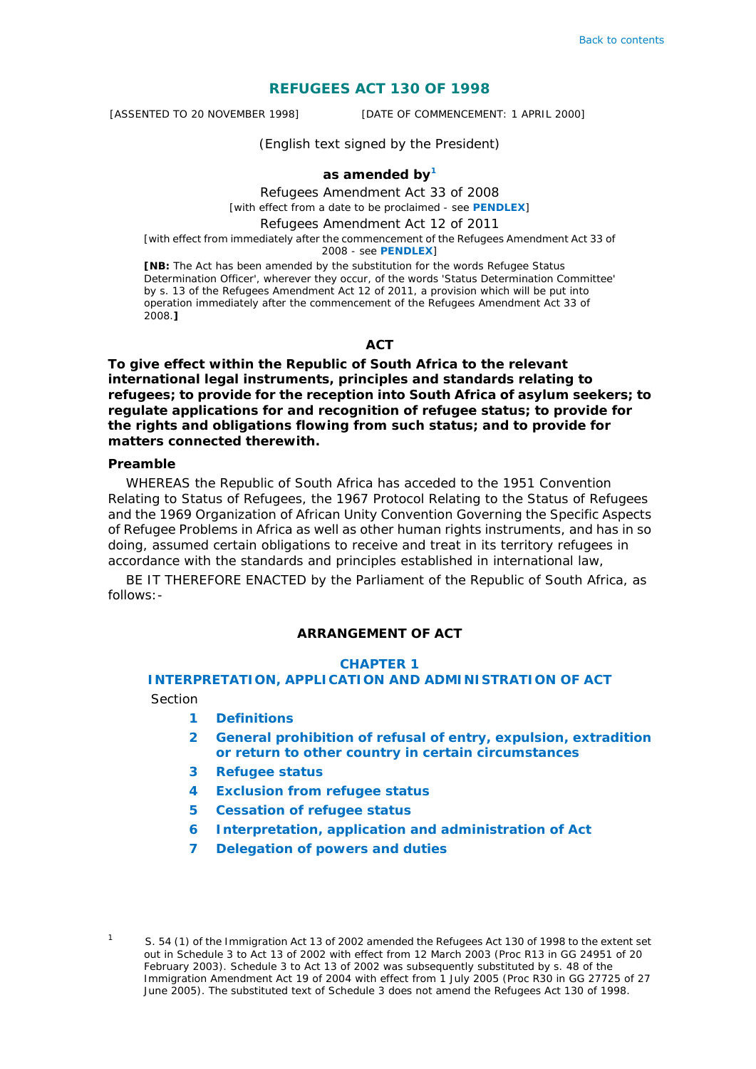## **REFUGEES ACT 130 OF 1998**

[ASSENTED TO 20 NOVEMBER 1998] [DATE OF COMMENCEMENT: 1 APRIL 2000]

#### *(English text signed by the President)*

**as amended b[y1](#page-0-1)**

Refugees Amendment Act 33 of 2008 [with effect from a date to be proclaimed - see **[PENDLEX](#page-16-0)**]

Refugees Amendment Act 12 of 2011

[with effect from immediately after the commencement of the Refugees Amendment Act 33 of 2008 - see **[PENDLEX](#page-16-0)**]

**[NB:** The Act has been amended by the substitution for the words Refugee Status Determination Officer', wherever they occur, of the words 'Status Determination Committee' by s. 13 of the Refugees Amendment Act 12 of 2011, a provision which will be put into operation immediately after the commencement of the Refugees Amendment Act 33 of 2008.**]**

#### **ACT**

**To give effect within the Republic of South Africa to the relevant international legal instruments, principles and standards relating to refugees; to provide for the reception into South Africa of asylum seekers; to regulate applications for and recognition of refugee status; to provide for the rights and obligations flowing from such status; and to provide for matters connected therewith.** 

## **Preamble**

WHEREAS the Republic of South Africa has acceded to the 1951 Convention Relating to Status of Refugees, the 1967 Protocol Relating to the Status of Refugees and the 1969 Organization of African Unity Convention Governing the Specific Aspects of Refugee Problems in Africa as well as other human rights instruments, and has in so doing, assumed certain obligations to receive and treat in its territory refugees in accordance with the standards and principles established in international law,

BE IT THEREFORE ENACTED by the Parliament of the Republic of South Africa, as follows:-

## **ARRANGEMENT OF ACT**

### **CHAPTER 1**

# **INTERPRETATION, [APPLICATION AND ADMINISTRATION OF ACT](#page-2-0)**

<span id="page-0-1"></span>*Section*

<span id="page-0-0"></span>1

- **[1 Definitions](#page-2-0)**
- **[2 General prohibition of refusal of entry, expulsion, extradition](#page-3-0)  or return to other country in certain circumstances**
- **[3 Refugee status](#page-3-1)**
- **[4 Exclusion from refugee status](#page-3-2)**
- **[5 Cessation of refugee status](#page-4-0)**
- **[6 Interpretation, application and administration of Act](#page-4-1)**
- **[7 Delegation of powers and duties](#page-5-0)**

S. 54 (1) of the Immigration Act 13 of 2002 amended the Refugees Act 130 of 1998 to the extent set out in Schedule 3 to Act 13 of 2002 with effect from 12 March 2003 (Proc R13 in *GG* 24951 of 20 February 2003). Schedule 3 to Act 13 of 2002 was subsequently substituted by s. 48 of the Immigration Amendment Act 19 of 2004 with effect from 1 July 2005 (Proc R30 in *GG* 27725 of 27 June 2005). The substituted text of Schedule 3 does not amend the Refugees Act 130 of 1998.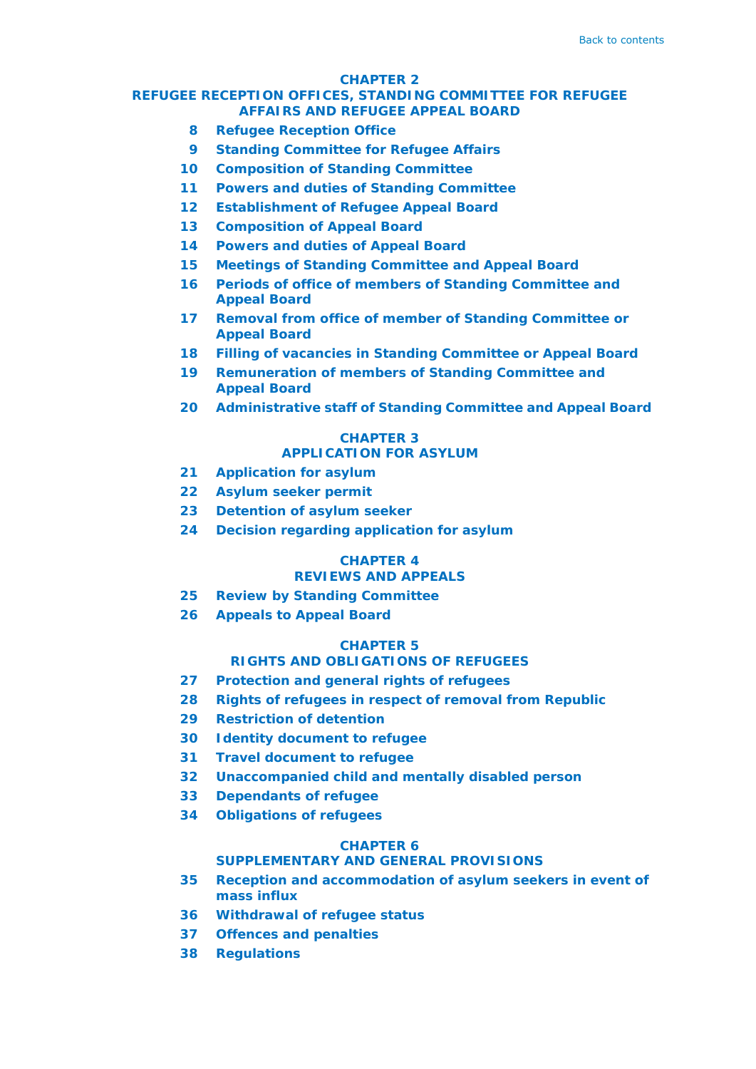## **CHAPTER 2**

### **[REFUGEE RECEPTION OFFICES, STANDING COMMITTEE FOR REFUGEE](#page-5-1)  AFFAIRS AND REFUGEE APPEAL BOARD**

- **[8 Refugee Reception Office](#page-5-1)**
- **[9 Standing Committee for Refugee Affairs](#page-5-2)**
- **10 [Composition of Standing Committee](#page-6-0)**
- **[11 Powers and duties of Standing Committee](#page-6-1)**
- **12 [Establishment of Refugee Appeal Board](#page-6-2)**
- **[13 Composition of Appeal Board](#page-6-3)**
- **[14 Powers and duties of Appeal Board](#page-7-0)**
- **15 [Meetings of Standing Committee and Appeal Board](#page-7-1)**
- **16 [Periods of office of members of Standing Committee and](#page-7-1)  Appeal Board**
- **17 [Removal from office of member of Standing Committee or](#page-7-2)  Appeal Board**
- **[18 Filling of vacancies in Standing Committee or Appeal Board](#page-7-2)**
- **19 [Remuneration of members of Standing Committee and](#page-8-0)  Appeal Board**
- **20 [Administrative staff of Standing Committee and Appeal Board](#page-8-0)**

### **CHAPTER 3 [APPLICATION FOR ASYLUM](#page-8-0)**

- **[21 Application for asylum](#page-8-1)**
- **22 [Asylum seeker permit](#page-9-0)**
- **23 [Detention of asylum seeker](#page-10-0)**
- **24 [Decision regarding application for asylum](#page-10-0)**

#### **CHAPTER 4 [REVIEWS AND APPEALS](#page-11-0)**

- **[25 Review by Standing Committee](#page-11-0)**
- **26 [Appeals to Appeal Board](#page-11-0)**

## **CHAPTER 5**

## **[RIGHTS AND OBLIGATIONS OF REFUGEES](#page-12-0)**

- **[27 Protection and general rights of refugees](#page-12-0)**
- **28 [Rights of refugees in respect of removal from Republic](#page-12-1)**
- **29 [Restriction of detention](#page-13-0)**
- **[30 Identity document to refugee](#page-13-1)**
- **[31 Travel document to refugee](#page-13-2)**
- **[32 Unaccompanied child and mentally disabled person](#page-13-2)**
- **33 [Dependants of refugee](#page-14-0)**
- **34 [Obligations of refugees](#page-14-1)**

## **CHAPTER 6**

## **[SUPPLEMENTARY AND GENERAL PROVISIONS](#page-14-2)**

- **35 [Reception and accommodation](#page-14-2) of asylum seekers in event of mass influx**
- **[36 Withdrawal of refugee status](#page-14-3)**
- **[37 Offences and penalties](#page-15-0)**
- **[38 Regulations](#page-15-1)**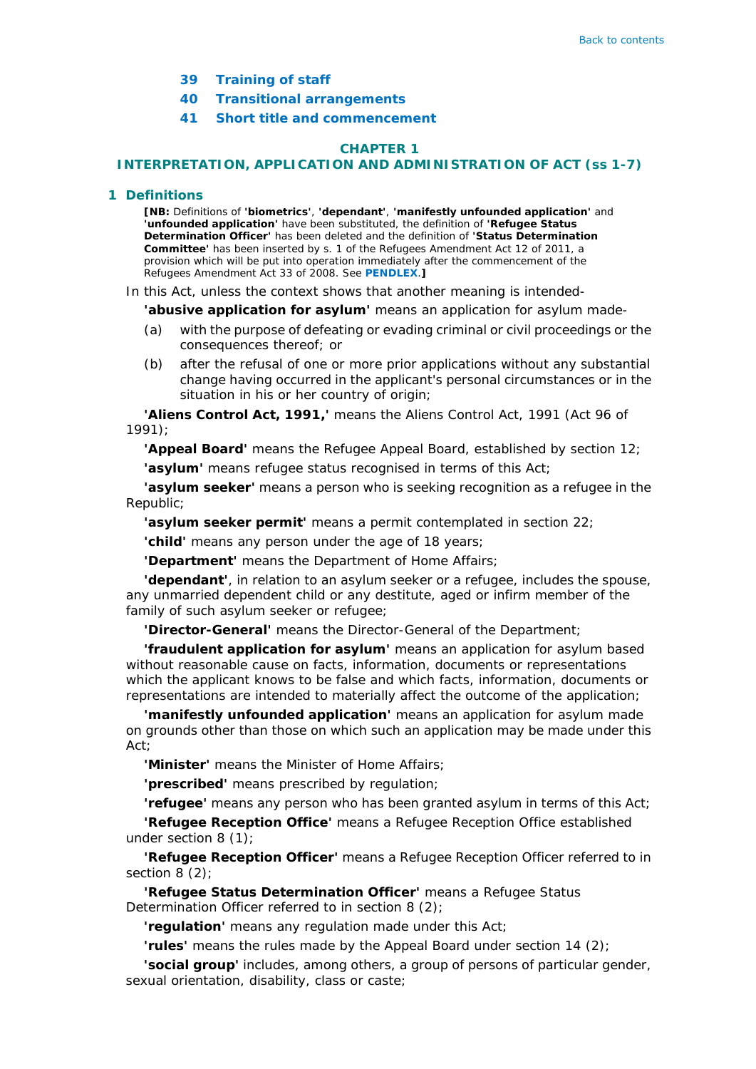- **39 [Training of staff](#page-16-1)**
- **[40 Transitional arrangements](#page-16-1)**
- **[41 Short title and commencement](#page-16-2)**

## **CHAPTER 1**

## <span id="page-2-0"></span>**INTERPRETATION, APPLICATION AND ADMINISTRATION OF ACT (ss 1-7)**

#### **1 Definitions**

**[NB:** Definitions of **'biometrics'**, **'dependant'**, **'manifestly unfounded application'** and **'unfounded application'** have been substituted, the definition of **'Refugee Status Determination Officer'** has been deleted and the definition of **'Status Determination Committee'** has been inserted by s. 1 of the Refugees Amendment Act 12 of 2011, a provision which will be put into operation immediately after the commencement of the Refugees Amendment Act 33 of 2008. See **[PENDLEX](#page-16-0)**.**]**

In this Act, unless the context shows that another meaning is intended-

**'abusive application for asylum'** means an application for asylum made-

- *(a)* with the purpose of defeating or evading criminal or civil proceedings or the consequences thereof; or
- *(b)* after the refusal of one or more prior applications without any substantial change having occurred in the applicant's personal circumstances or in the situation in his or her country of origin;

**'Aliens Control Act, 1991,'** means the Aliens Control Act, 1991 (Act 96 of 1991);

**'Appeal Board'** means the Refugee Appeal Board, established by section 12;

**'asylum'** means refugee status recognised in terms of this Act;

**'asylum seeker'** means a person who is seeking recognition as a refugee in the Republic;

**'asylum seeker permit'** means a permit contemplated in section 22;

**'child'** means any person under the age of 18 years;

**'Department'** means the Department of Home Affairs;

**'dependant'**, in relation to an asylum seeker or a refugee, includes the spouse, any unmarried dependent child or any destitute, aged or infirm member of the family of such asylum seeker or refugee;

**'Director-General'** means the Director-General of the Department;

**'fraudulent application for asylum'** means an application for asylum based without reasonable cause on facts, information, documents or representations which the applicant knows to be false and which facts, information, documents or representations are intended to materially affect the outcome of the application;

**'manifestly unfounded application'** means an application for asylum made on grounds other than those on which such an application may be made under this Act:

**'Minister'** means the Minister of Home Affairs;

**'prescribed'** means prescribed by regulation;

**'refugee'** means any person who has been granted asylum in terms of this Act;

**'Refugee Reception Office'** means a Refugee Reception Office established under section 8 (1);

**'Refugee Reception Officer'** means a Refugee Reception Officer referred to in section 8 (2);

**'Refugee Status Determination Officer'** means a Refugee Status Determination Officer referred to in section 8 (2);

**'regulation'** means any regulation made under this Act;

**'rules'** means the rules made by the Appeal Board under section 14 (2);

**'social group'** includes, among others, a group of persons of particular gender, sexual orientation, disability, class or caste;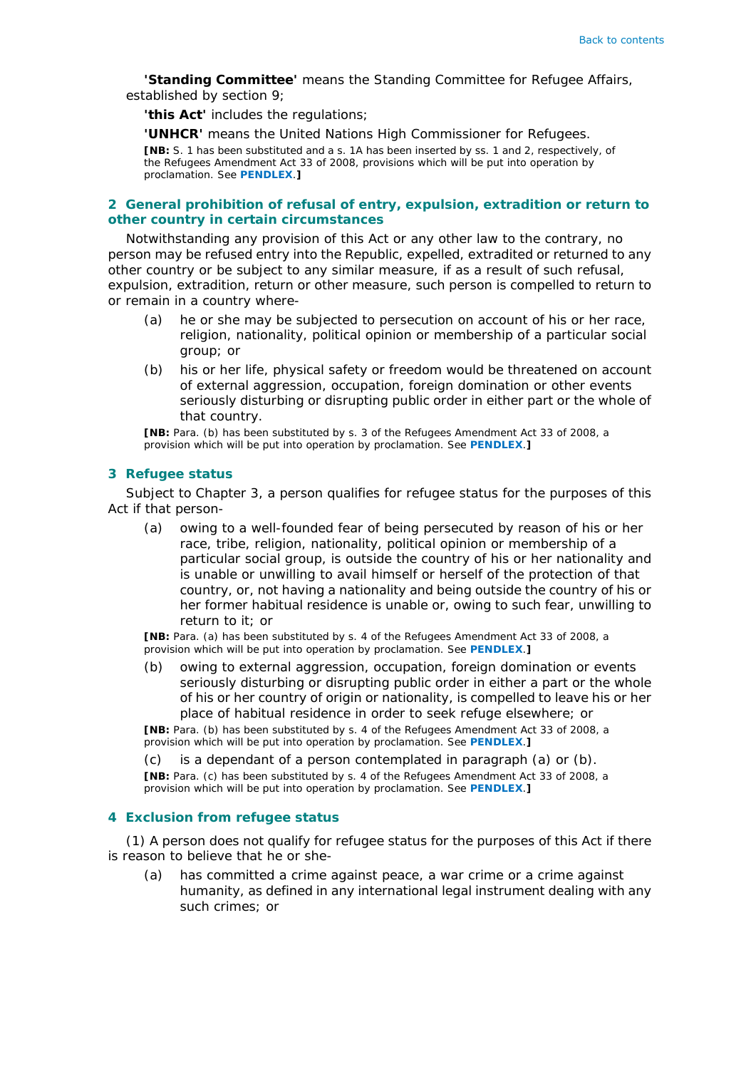<span id="page-3-0"></span>**'Standing Committee'** means the Standing Committee for Refugee Affairs, established by section 9;

**'this Act'** includes the regulations;

**'UNHCR'** means the United Nations High Commissioner for Refugees.

**[NB:** S. 1 has been substituted and a s. 1A has been inserted by ss. 1 and 2, respectively, of the Refugees Amendment Act 33 of 2008, provisions which will be put into operation by proclamation. See **[PENDLEX](#page-16-0)**.**]**

## **2 General prohibition of refusal of entry, expulsion, extradition or return to other country in certain circumstances**

<span id="page-3-1"></span>Notwithstanding any provision of this Act or any other law to the contrary, no person may be refused entry into the Republic, expelled, extradited or returned to any other country or be subject to any similar measure, if as a result of such refusal, expulsion, extradition, return or other measure, such person is compelled to return to or remain in a country where-

- *(a)* he or she may be subjected to persecution on account of his or her race, religion, nationality, political opinion or membership of a particular social group; or
- *(b)* his or her life, physical safety or freedom would be threatened on account of external aggression, occupation, foreign domination or other events seriously disturbing or disrupting public order in either part or the whole of that country.

**[NB:** Para. *(b)* has been substituted by s. 3 of the Refugees Amendment Act 33 of 2008, a provision which will be put into operation by proclamation. See **[PENDLEX](#page-16-0)**.**]**

#### **3 Refugee status**

<span id="page-3-2"></span>Subject to Chapter 3, a person qualifies for refugee status for the purposes of this Act if that person-

*(a)* owing to a well-founded fear of being persecuted by reason of his or her race, tribe, religion, nationality, political opinion or membership of a particular social group, is outside the country of his or her nationality and is unable or unwilling to avail himself or herself of the protection of that country, or, not having a nationality and being outside the country of his or her former habitual residence is unable or, owing to such fear, unwilling to return to it; or

**[NB:** Para. *(a)* has been substituted by s. 4 of the Refugees Amendment Act 33 of 2008, a provision which will be put into operation by proclamation. See **[PENDLEX](#page-16-0)**.**]**

*(b)* owing to external aggression, occupation, foreign domination or events seriously disturbing or disrupting public order in either a part or the whole of his or her country of origin or nationality, is compelled to leave his or her place of habitual residence in order to seek refuge elsewhere; or

**[NB:** Para. *(b)* has been substituted by s. 4 of the Refugees Amendment Act 33 of 2008, a provision which will be put into operation by proclamation. See **[PENDLEX](#page-16-0)**.**]**

*(c)* is a dependant of a person contemplated in paragraph *(a)* or *(b)*. **[NB:** Para. *(c)* has been substituted by s. 4 of the Refugees Amendment Act 33 of 2008, a provision which will be put into operation by proclamation. See **[PENDLEX](#page-16-0)**.**]**

#### **4 Exclusion from refugee status**

(1) A person does not qualify for refugee status for the purposes of this Act if there is reason to believe that he or she-

*(a)* has committed a crime against peace, a war crime or a crime against humanity, as defined in any international legal instrument dealing with any such crimes; or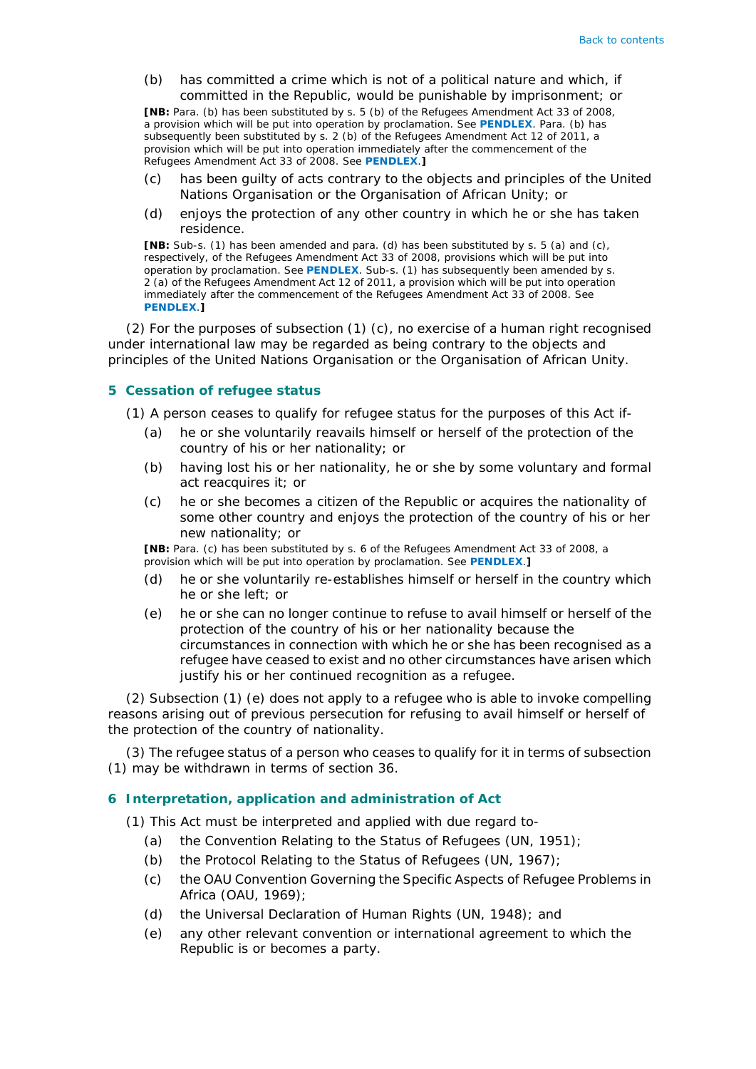*(b)* has committed a crime which is not of a political nature and which, if committed in the Republic, would be punishable by imprisonment; or

**[NB:** Para. *(b)* has been substituted by s. 5 *(b)* of the Refugees Amendment Act 33 of 2008, a provision which will be put into operation by proclamation. See **[PENDLEX](#page-16-0)**. Para. *(b)* has subsequently been substituted by s. 2 *(b)* of the Refugees Amendment Act 12 of 2011, a provision which will be put into operation immediately after the commencement of the Refugees Amendment Act 33 of 2008. See **[PENDLEX](#page-16-0)**.**]**

- *(c)* has been guilty of acts contrary to the objects and principles of the United Nations Organisation or the Organisation of African Unity; or
- *(d)* enjoys the protection of any other country in which he or she has taken residence.

**[NB:** Sub-s. (1) has been amended and para. *(d)* has been substituted by s. 5 *(a)* and *(c)*, respectively, of the Refugees Amendment Act 33 of 2008, provisions which will be put into operation by proclamation. See **[PENDLEX](#page-16-0)**. Sub-s. (1) has subsequently been amended by s. 2 *(a)* of the Refugees Amendment Act 12 of 2011, a provision which will be put into operation immediately after the commencement of the Refugees Amendment Act 33 of 2008. See **[PENDLEX](#page-16-0)**.**]**

<span id="page-4-0"></span>(2) For the purposes of subsection (1) *(c)*, no exercise of a human right recognised under international law may be regarded as being contrary to the objects and principles of the United Nations Organisation or the Organisation of African Unity.

#### **5 Cessation of refugee status**

- (1) A person ceases to qualify for refugee status for the purposes of this Act if-
	- *(a)* he or she voluntarily reavails himself or herself of the protection of the country of his or her nationality; or
	- *(b)* having lost his or her nationality, he or she by some voluntary and formal act reacquires it; or
	- *(c)* he or she becomes a citizen of the Republic or acquires the nationality of some other country and enjoys the protection of the country of his or her new nationality; or

**[NB:** Para. *(c)* has been substituted by s. 6 of the Refugees Amendment Act 33 of 2008, a provision which will be put into operation by proclamation. See **[PENDLEX](#page-16-0)**.**]**

- *(d)* he or she voluntarily re-establishes himself or herself in the country which he or she left; or
- *(e)* he or she can no longer continue to refuse to avail himself or herself of the protection of the country of his or her nationality because the circumstances in connection with which he or she has been recognised as a refugee have ceased to exist and no other circumstances have arisen which justify his or her continued recognition as a refugee.

<span id="page-4-1"></span>(2) Subsection (1) *(e)* does not apply to a refugee who is able to invoke compelling reasons arising out of previous persecution for refusing to avail himself or herself of the protection of the country of nationality.

(3) The refugee status of a person who ceases to qualify for it in terms of subsection (1) may be withdrawn in terms of section 36.

#### **6 Interpretation, application and administration of Act**

(1) This Act must be interpreted and applied with due regard to-

- *(a)* the Convention Relating to the Status of Refugees (UN, 1951);
- *(b)* the Protocol Relating to the Status of Refugees (UN, 1967);
- *(c)* the OAU Convention Governing the Specific Aspects of Refugee Problems in Africa (OAU, 1969);
- *(d)* the Universal Declaration of Human Rights (UN, 1948); and
- *(e)* any other relevant convention or international agreement to which the Republic is or becomes a party.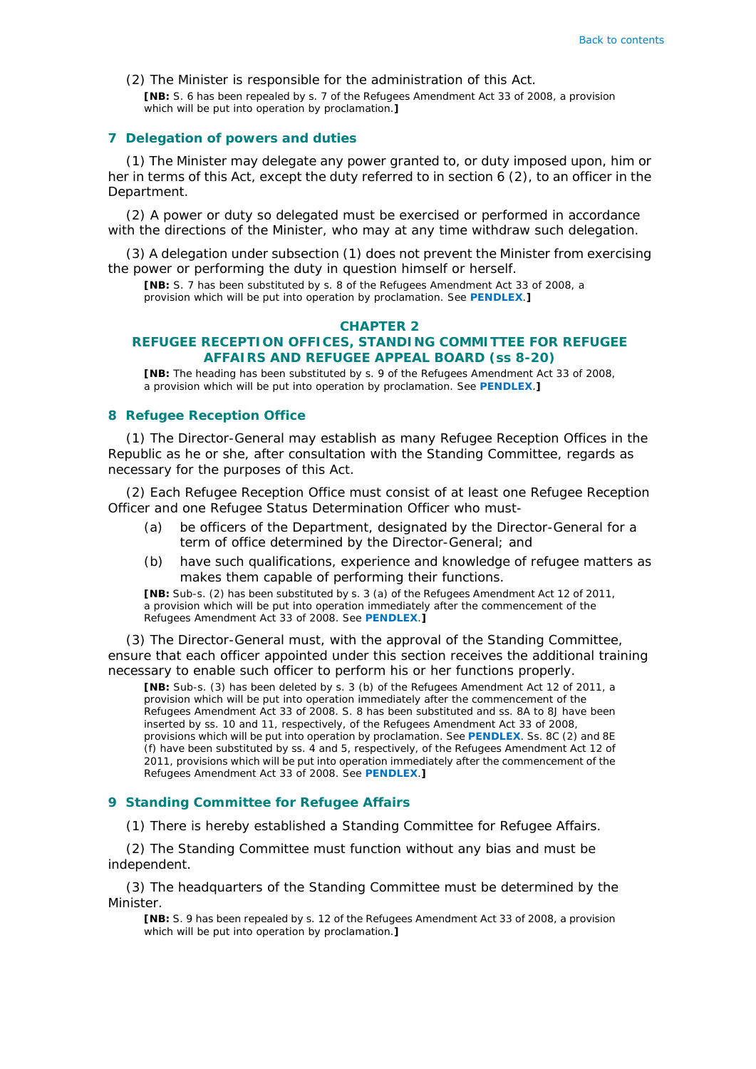<span id="page-5-0"></span>(2) The Minister is responsible for the administration of this Act. **[NB:** S. 6 has been repealed by s. 7 of the Refugees Amendment Act 33 of 2008, a provision which will be put into operation by proclamation.**]**

#### **7 Delegation of powers and duties**

<span id="page-5-1"></span>(1) The Minister may delegate any power granted to, or duty imposed upon, him or her in terms of this Act, except the duty referred to in section 6 (2), to an officer in the Department.

(2) A power or duty so delegated must be exercised or performed in accordance with the directions of the Minister, who may at any time withdraw such delegation.

(3) A delegation under subsection (1) does not prevent the Minister from exercising the power or performing the duty in question himself or herself.

**[NB:** S. 7 has been substituted by s. 8 of the Refugees Amendment Act 33 of 2008, a provision which will be put into operation by proclamation. See **[PENDLEX](#page-16-0)**.**]**

#### **CHAPTER 2**

## **REFUGEE RECEPTION OFFICES, STANDING COMMITTEE FOR REFUGEE AFFAIRS AND REFUGEE APPEAL BOARD (ss 8-20)**

**[NB:** The heading has been substituted by s. 9 of the Refugees Amendment Act 33 of 2008, a provision which will be put into operation by proclamation. See **[PENDLEX](#page-16-0)**.**]**

#### **8 Refugee Reception Office**

(1) The Director-General may establish as many Refugee Reception Offices in the Republic as he or she, after consultation with the Standing Committee, regards as necessary for the purposes of this Act.

(2) Each Refugee Reception Office must consist of at least one Refugee Reception Officer and one Refugee Status Determination Officer who must-

- *(a)* be officers of the Department, designated by the Director-General for a term of office determined by the Director-General; and
- *(b)* have such qualifications, experience and knowledge of refugee matters as makes them capable of performing their functions.

**[NB:** Sub-s. (2) has been substituted by s. 3 *(a)* of the Refugees Amendment Act 12 of 2011, a provision which will be put into operation immediately after the commencement of the Refugees Amendment Act 33 of 2008. See **[PENDLEX](#page-26-0)**.**]**

<span id="page-5-2"></span>(3) The Director-General must, with the approval of the Standing Committee, ensure that each officer appointed under this section receives the additional training necessary to enable such officer to perform his or her functions properly.

**[NB:** Sub-s. (3) has been deleted by s. 3 *(b)* of the Refugees Amendment Act 12 of 2011, a provision which will be put into operation immediately after the commencement of the Refugees Amendment Act 33 of 2008. S. 8 has been substituted and ss. 8A to 8J have been inserted by ss. 10 and 11, respectively, of the Refugees Amendment Act 33 of 2008, provisions which will be put into operation by proclamation. See **[PENDLEX](#page-16-0)**. Ss. 8C (2) and 8E *(f)* have been substituted by ss. 4 and 5, respectively, of the Refugees Amendment Act 12 of 2011, provisions which will be put into operation immediately after the commencement of the Refugees Amendment Act 33 of 2008. See **[PENDLEX](#page-16-0)**.**]**

#### **9 Standing Committee for Refugee Affairs**

(1) There is hereby established a Standing Committee for Refugee Affairs.

(2) The Standing Committee must function without any bias and must be independent.

(3) The headquarters of the Standing Committee must be determined by the Minister.

**[NB:** S. 9 has been repealed by s. 12 of the Refugees Amendment Act 33 of 2008, a provision which will be put into operation by proclamation.**]**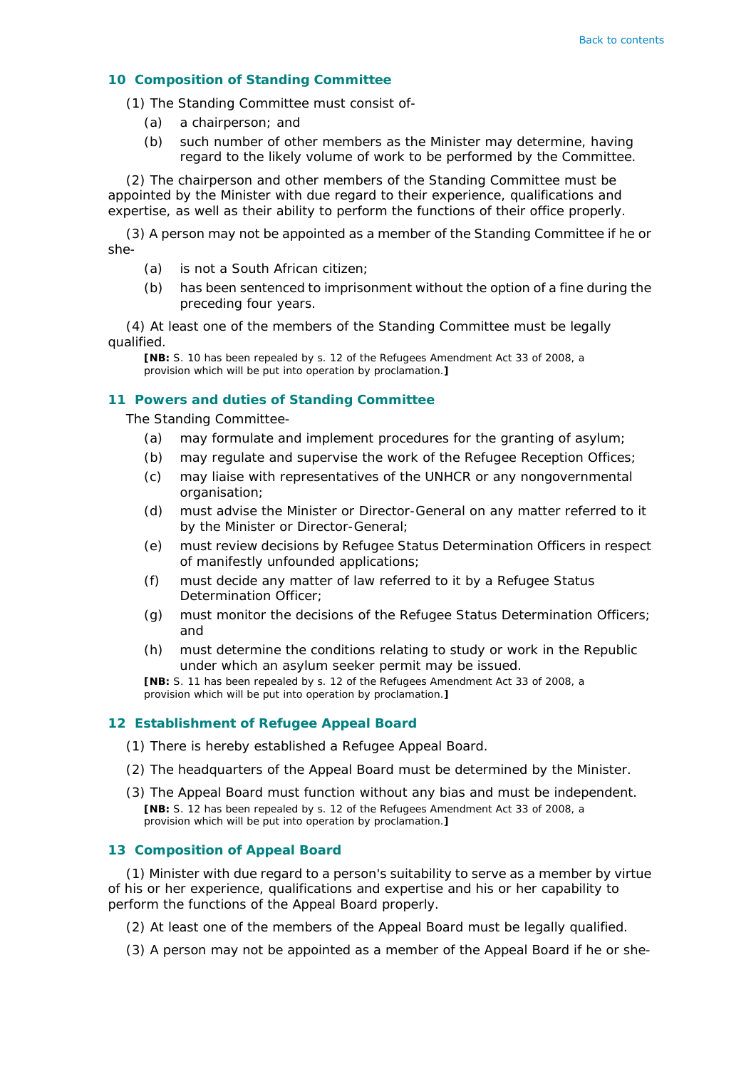## <span id="page-6-0"></span>**10 Composition of Standing Committee**

(1) The Standing Committee must consist of-

- *(a)* a chairperson; and
- *(b)* such number of other members as the Minister may determine, having regard to the likely volume of work to be performed by the Committee.

(2) The chairperson and other members of the Standing Committee must be appointed by the Minister with due regard to their experience, qualifications and expertise, as well as their ability to perform the functions of their office properly.

<span id="page-6-1"></span>(3) A person may not be appointed as a member of the Standing Committee if he or she-

- *(a)* is not a South African citizen;
- *(b)* has been sentenced to imprisonment without the option of a fine during the preceding four years.

(4) At least one of the members of the Standing Committee must be legally qualified.

**[NB:** S. 10 has been repealed by s. 12 of the Refugees Amendment Act 33 of 2008, a provision which will be put into operation by proclamation.**]**

### <span id="page-6-2"></span>**11 Powers and duties of Standing Committee**

The Standing Committee-

- *(a)* may formulate and implement procedures for the granting of asylum;
- *(b)* may regulate and supervise the work of the Refugee Reception Offices;
- *(c)* may liaise with representatives of the UNHCR or any nongovernmental organisation;
- *(d)* must advise the Minister or Director-General on any matter referred to it by the Minister or Director-General;
- *(e)* must review decisions by Refugee Status Determination Officers in respect of manifestly unfounded applications;
- *(f)* must decide any matter of law referred to it by a Refugee Status Determination Officer;
- *(g)* must monitor the decisions of the Refugee Status Determination Officers; and
- *(h)* must determine the conditions relating to study or work in the Republic under which an asylum seeker permit may be issued.

**[NB:** S. 11 has been repealed by s. 12 of the Refugees Amendment Act 33 of 2008, a provision which will be put into operation by proclamation.**]**

#### <span id="page-6-3"></span>**12 Establishment of Refugee Appeal Board**

- (1) There is hereby established a Refugee Appeal Board.
- (2) The headquarters of the Appeal Board must be determined by the Minister.
- (3) The Appeal Board must function without any bias and must be independent. **[NB:** S. 12 has been repealed by s. 12 of the Refugees Amendment Act 33 of 2008, a provision which will be put into operation by proclamation.**]**

#### **13 Composition of Appeal Board**

(1) Minister with due regard to a person's suitability to serve as a member by virtue of his or her experience, qualifications and expertise and his or her capability to perform the functions of the Appeal Board properly.

- (2) At least one of the members of the Appeal Board must be legally qualified.
- (3) A person may not be appointed as a member of the Appeal Board if he or she-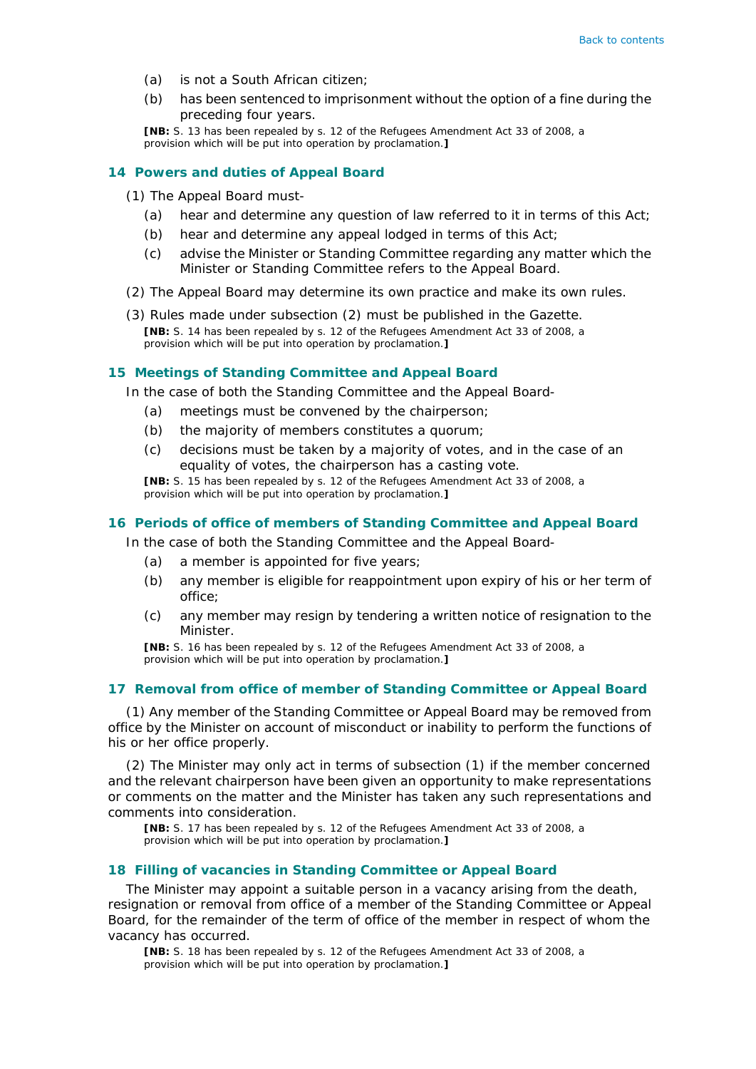- <span id="page-7-0"></span>*(a)* is not a South African citizen;
- *(b)* has been sentenced to imprisonment without the option of a fine during the preceding four years.

**[NB:** S. 13 has been repealed by s. 12 of the Refugees Amendment Act 33 of 2008, a provision which will be put into operation by proclamation.**]**

#### <span id="page-7-1"></span>**14 Powers and duties of Appeal Board**

(1) The Appeal Board must-

- *(a)* hear and determine any question of law referred to it in terms of this Act;
- *(b)* hear and determine any appeal lodged in terms of this Act;
- *(c)* advise the Minister or Standing Committee regarding any matter which the Minister or Standing Committee refers to the Appeal Board.
- (2) The Appeal Board may determine its own practice and make its own rules.
- (3) Rules made under subsection (2) must be published in the *Gazette*. **[NB:** S. 14 has been repealed by s. 12 of the Refugees Amendment Act 33 of 2008, a provision which will be put into operation by proclamation.**]**

#### **15 Meetings of Standing Committee and Appeal Board**

In the case of both the Standing Committee and the Appeal Board-

- *(a)* meetings must be convened by the chairperson;
- *(b)* the majority of members constitutes a quorum;
- *(c)* decisions must be taken by a majority of votes, and in the case of an equality of votes, the chairperson has a casting vote.

**[NB:** S. 15 has been repealed by s. 12 of the Refugees Amendment Act 33 of 2008, a provision which will be put into operation by proclamation.**]**

## <span id="page-7-2"></span>**16 Periods of office of members of Standing Committee and Appeal Board**

In the case of both the Standing Committee and the Appeal Board-

- *(a)* a member is appointed for five years;
- *(b)* any member is eligible for reappointment upon expiry of his or her term of office;
- *(c)* any member may resign by tendering a written notice of resignation to the Minister.

**[NB:** S. 16 has been repealed by s. 12 of the Refugees Amendment Act 33 of 2008, a provision which will be put into operation by proclamation.**]**

## **17 Removal from office of member of Standing Committee or Appeal Board**

(1) Any member of the Standing Committee or Appeal Board may be removed from office by the Minister on account of misconduct or inability to perform the functions of his or her office properly.

(2) The Minister may only act in terms of subsection (1) if the member concerned and the relevant chairperson have been given an opportunity to make representations or comments on the matter and the Minister has taken any such representations and comments into consideration.

**[NB:** S. 17 has been repealed by s. 12 of the Refugees Amendment Act 33 of 2008, a provision which will be put into operation by proclamation.**]**

#### **18 Filling of vacancies in Standing Committee or Appeal Board**

The Minister may appoint a suitable person in a vacancy arising from the death, resignation or removal from office of a member of the Standing Committee or Appeal Board, for the remainder of the term of office of the member in respect of whom the vacancy has occurred.

**[NB:** S. 18 has been repealed by s. 12 of the Refugees Amendment Act 33 of 2008, a provision which will be put into operation by proclamation.**]**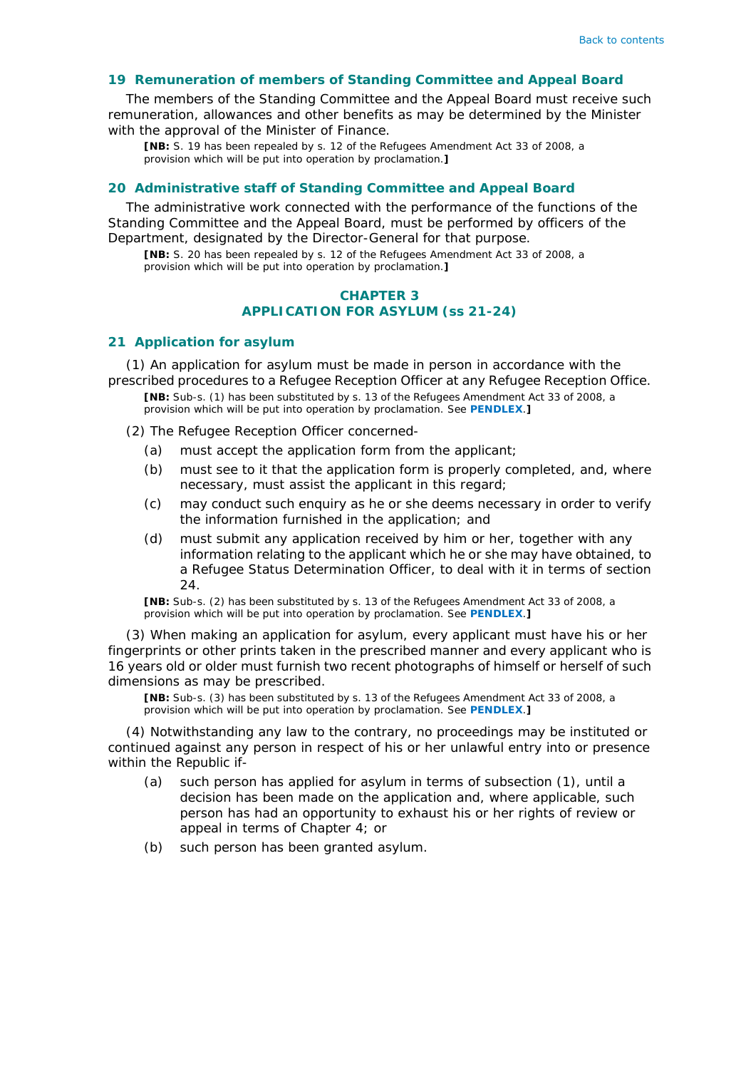### <span id="page-8-0"></span>**19 Remuneration of members of Standing Committee and Appeal Board**

The members of the Standing Committee and the Appeal Board must receive such remuneration, allowances and other benefits as may be determined by the Minister with the approval of the Minister of Finance.

**[NB:** S. 19 has been repealed by s. 12 of the Refugees Amendment Act 33 of 2008, a provision which will be put into operation by proclamation.**]**

## <span id="page-8-1"></span>**20 Administrative staff of Standing Committee and Appeal Board**

The administrative work connected with the performance of the functions of the Standing Committee and the Appeal Board, must be performed by officers of the Department, designated by the Director-General for that purpose.

**[NB:** S. 20 has been repealed by s. 12 of the Refugees Amendment Act 33 of 2008, a provision which will be put into operation by proclamation.**]**

## **CHAPTER 3 APPLICATION FOR ASYLUM (ss 21-24)**

#### **21 Application for asylum**

(1) An application for asylum must be made in person in accordance with the prescribed procedures to a Refugee Reception Officer at any Refugee Reception Office.

**[NB:** Sub-s. (1) has been substituted by s. 13 of the Refugees Amendment Act 33 of 2008, a provision which will be put into operation by proclamation. See **[PENDLEX](#page-16-0)**.**]**

- (2) The Refugee Reception Officer concerned-
	- *(a)* must accept the application form from the applicant;
	- *(b)* must see to it that the application form is properly completed, and, where necessary, must assist the applicant in this regard;
	- *(c)* may conduct such enquiry as he or she deems necessary in order to verify the information furnished in the application; and
	- *(d)* must submit any application received by him or her, together with any information relating to the applicant which he or she may have obtained, to a Refugee Status Determination Officer, to deal with it in terms of section 24.

**[NB:** Sub-s. (2) has been substituted by s. 13 of the Refugees Amendment Act 33 of 2008, a provision which will be put into operation by proclamation. See **[PENDLEX](#page-16-0)**.**]**

(3) When making an application for asylum, every applicant must have his or her fingerprints or other prints taken in the prescribed manner and every applicant who is 16 years old or older must furnish two recent photographs of himself or herself of such dimensions as may be prescribed.

**[NB:** Sub-s. (3) has been substituted by s. 13 of the Refugees Amendment Act 33 of 2008, a provision which will be put into operation by proclamation. See **[PENDLEX](#page-16-0)**.**]**

(4) Notwithstanding any law to the contrary, no proceedings may be instituted or continued against any person in respect of his or her unlawful entry into or presence within the Republic if-

- *(a)* such person has applied for asylum in terms of subsection (1), until a decision has been made on the application and, where applicable, such person has had an opportunity to exhaust his or her rights of review or appeal in terms of Chapter 4; or
- *(b)* such person has been granted asylum.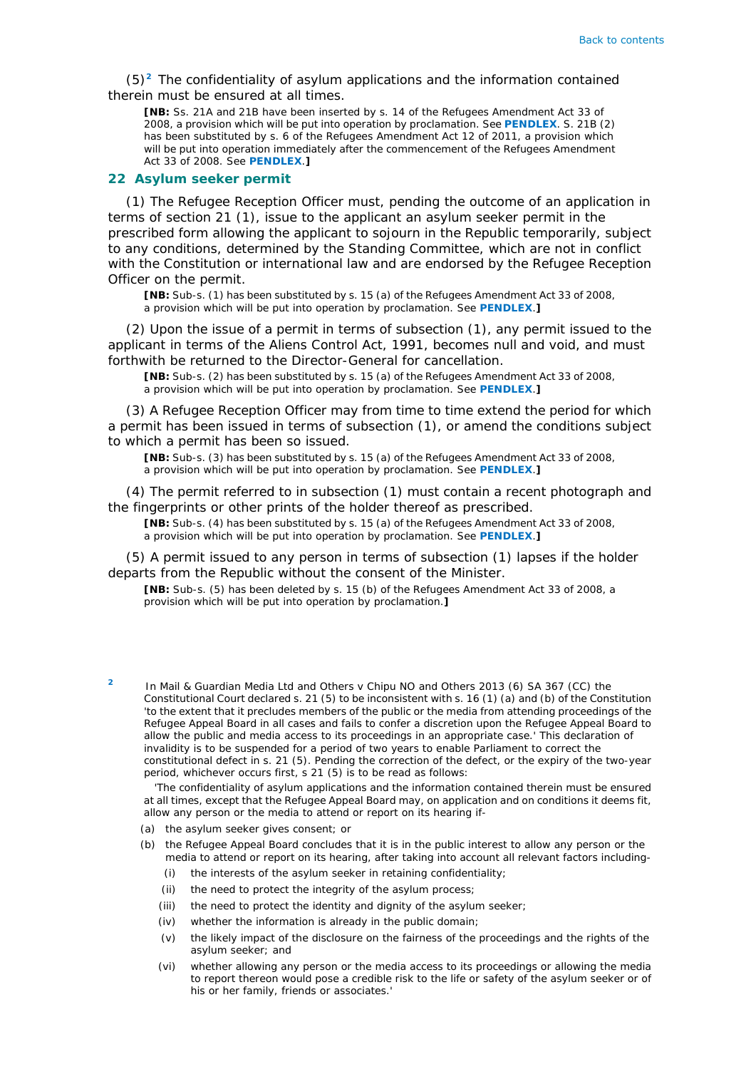<span id="page-9-0"></span>(5)**[2](#page-9-1)** The confidentiality of asylum applications and the information contained therein must be ensured at all times.

**[NB:** Ss. 21A and 21B have been inserted by s. 14 of the Refugees Amendment Act 33 of 2008, a provision which will be put into operation by proclamation. See **[PENDLEX](#page-16-0)**. S. 21B (2) has been substituted by s. 6 of the Refugees Amendment Act 12 of 2011, a provision which will be put into operation immediately after the commencement of the Refugees Amendment Act 33 of 2008. See **[PENDLEX](#page-16-0)**.**]**

#### **22 Asylum seeker permit**

(1) The Refugee Reception Officer must, pending the outcome of an application in terms of section 21 (1), issue to the applicant an asylum seeker permit in the prescribed form allowing the applicant to sojourn in the Republic temporarily, subject to any conditions, determined by the Standing Committee, which are not in conflict with the Constitution or international law and are endorsed by the Refugee Reception Officer on the permit.

**[NB:** Sub-s. (1) has been substituted by s. 15 *(a)* of the Refugees Amendment Act 33 of 2008, a provision which will be put into operation by proclamation. See **[PENDLEX](#page-16-0)**.**]**

<span id="page-9-2"></span>(2) Upon the issue of a permit in terms of subsection (1), any permit issued to the applicant in terms of the Aliens Control Act, 1991, becomes null and void, and must forthwith be returned to the Director-General for cancellation.

**[NB:** Sub-s. (2) has been substituted by s. 15 *(a)* of the Refugees Amendment Act 33 of 2008, a provision which will be put into operation by proclamation. See **[PENDLEX](#page-16-0)**.**]**

(3) A Refugee Reception Officer may from time to time extend the period for which a permit has been issued in terms of subsection (1), or amend the conditions subject to which a permit has been so issued.

**[NB:** Sub-s. (3) has been substituted by s. 15 *(a)* of the Refugees Amendment Act 33 of 2008, a provision which will be put into operation by proclamation. See **[PENDLEX](#page-16-0)**.**]**

(4) The permit referred to in subsection (1) must contain a recent photograph and the fingerprints or other prints of the holder thereof as prescribed.

**[NB:** Sub-s. (4) has been substituted by s. 15 *(a)* of the Refugees Amendment Act 33 of 2008, a provision which will be put into operation by proclamation. See **[PENDLEX](#page-16-0)**.**]**

(5) A permit issued to any person in terms of subsection (1) lapses if the holder departs from the Republic without the consent of the Minister.

**[NB:** Sub-s. (5) has been deleted by s. 15 *(b)* of the Refugees Amendment Act 33 of 2008, a provision which will be put into operation by proclamation.**]**

<span id="page-9-1"></span>**<sup>2</sup>** In *Mail & Guardian Media Ltd and Others v Chipu NO and Others* 2013 (6) SA 367 (CC) the Constitutional Court declared s. 21 (5) to be inconsistent with s. 16 (1) *(a)* and *(b)* of the Constitution 'to the extent that it precludes members of the public or the media from attending proceedings of the Refugee Appeal Board in all cases and fails to confer a discretion upon the Refugee Appeal Board to allow the public and media access to its proceedings in an appropriate case.' This declaration of invalidity is to be suspended for a period of two years to enable Parliament to correct the constitutional defect in s. 21 (5). Pending the correction of the defect, or the expiry of the two-year period, whichever occurs first, s 21 (5) is to be read as follows:

 'The confidentiality of asylum applications and the information contained therein must be ensured at all times, except that the Refugee Appeal Board may, on application and on conditions it deems fit, allow any person or the media to attend or report on its hearing if-

- *(a)* the asylum seeker gives consent; or
- *(b)* the Refugee Appeal Board concludes that it is in the public interest to allow any person or the media to attend or report on its hearing, after taking into account all relevant factors including-
	- (i) the interests of the asylum seeker in retaining confidentiality;
	- (ii) the need to protect the integrity of the asylum process;
	- (iii) the need to protect the identity and dignity of the asylum seeker;
	- (iv) whether the information is already in the public domain;
	- (v) the likely impact of the disclosure on the fairness of the proceedings and the rights of the asylum seeker; and
	- (vi) whether allowing any person or the media access to its proceedings or allowing the media to report thereon would pose a credible risk to the life or safety of the asylum seeker or of his or her family, friends or associates.'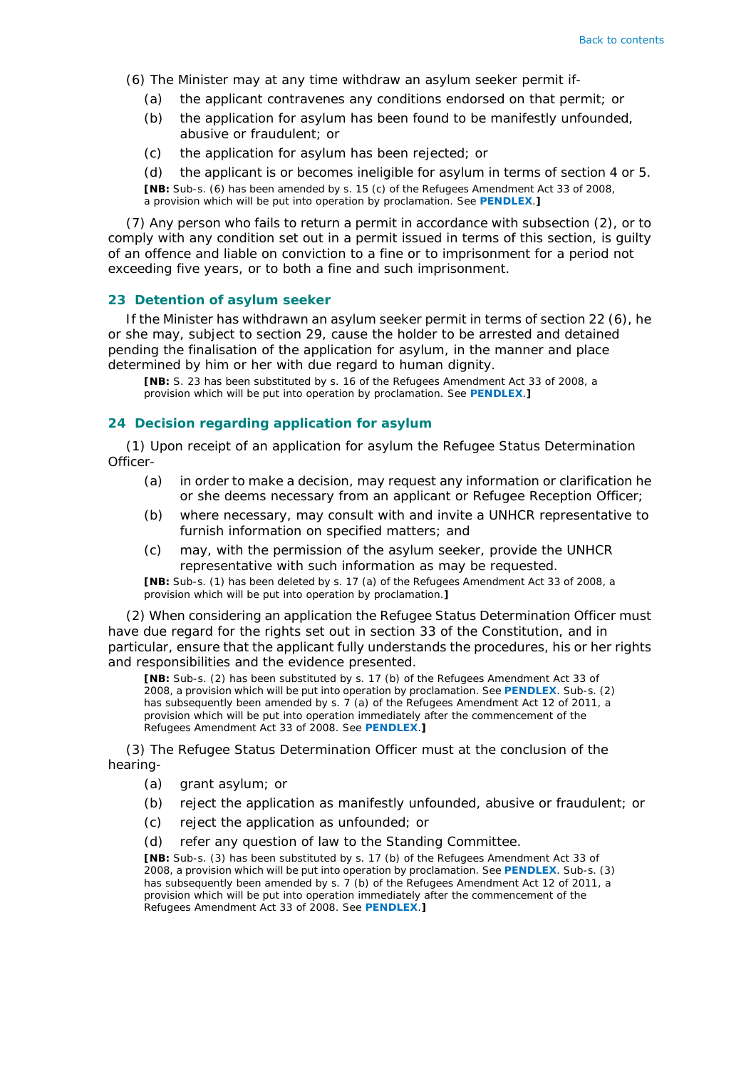- (6) The Minister may at any time withdraw an asylum seeker permit if-
	- *(a)* the applicant contravenes any conditions endorsed on that permit; or
	- *(b)* the application for asylum has been found to be manifestly unfounded, abusive or fraudulent; or
	- *(c)* the application for asylum has been rejected; or

*(d)* the applicant is or becomes ineligible for asylum in terms of section 4 or 5. **[NB:** Sub-s. (6) has been amended by s. 15 *(c)* of the Refugees Amendment Act 33 of 2008, a provision which will be put into operation by proclamation. See **[PENDLEX](#page-16-0)**.**]**

<span id="page-10-0"></span>(7) Any person who fails to return a permit in accordance with subsection (2), or to comply with any condition set out in a permit issued in terms of this section, is guilty of an offence and liable on conviction to a fine or to imprisonment for a period not exceeding five years, or to both a fine and such imprisonment.

## **23 Detention of asylum seeker**

If the Minister has withdrawn an asylum seeker permit in terms of section 22 (6), he or she may, subject to section 29, cause the holder to be arrested and detained pending the finalisation of the application for asylum, in the manner and place determined by him or her with due regard to human dignity.

**[NB:** S. 23 has been substituted by s. 16 of the Refugees Amendment Act 33 of 2008, a provision which will be put into operation by proclamation. See **[PENDLEX](#page-16-0)**.**]**

### **24 Decision regarding application for asylum**

(1) Upon receipt of an application for asylum the Refugee Status Determination Officer-

- *(a)* in order to make a decision, may request any information or clarification he or she deems necessary from an applicant or Refugee Reception Officer;
- *(b)* where necessary, may consult with and invite a UNHCR representative to furnish information on specified matters; and
- *(c)* may, with the permission of the asylum seeker, provide the UNHCR representative with such information as may be requested.

**[NB:** Sub-s. (1) has been deleted by s. 17 *(a)* of the Refugees Amendment Act 33 of 2008, a provision which will be put into operation by proclamation.**]**

(2) When considering an application the Refugee Status Determination Officer must have due regard for the rights set out in section 33 of the Constitution, and in particular, ensure that the applicant fully understands the procedures, his or her rights and responsibilities and the evidence presented.

**[NB:** Sub-s. (2) has been substituted by s. 17 *(b)* of the Refugees Amendment Act 33 of 2008, a provision which will be put into operation by proclamation. See **[PENDLEX](#page-16-0)**. Sub-s. (2) has subsequently been amended by s. 7 *(a)* of the Refugees Amendment Act 12 of 2011, a provision which will be put into operation immediately after the commencement of the Refugees Amendment Act 33 of 2008. See **[PENDLEX](#page-16-0)**.**]**

(3) The Refugee Status Determination Officer must at the conclusion of the hearing-

- *(a)* grant asylum; or
- *(b)* reject the application as manifestly unfounded, abusive or fraudulent; or
- *(c)* reject the application as unfounded; or
- *(d)* refer any question of law to the Standing Committee.

**[NB:** Sub-s. (3) has been substituted by s. 17 *(b)* of the Refugees Amendment Act 33 of 2008, a provision which will be put into operation by proclamation. See **[PENDLEX](#page-16-0)**. Sub-s. (3) has subsequently been amended by s. 7 *(b)* of the Refugees Amendment Act 12 of 2011, a provision which will be put into operation immediately after the commencement of the Refugees Amendment Act 33 of 2008. See **[PENDLEX](#page-16-0)**.**]**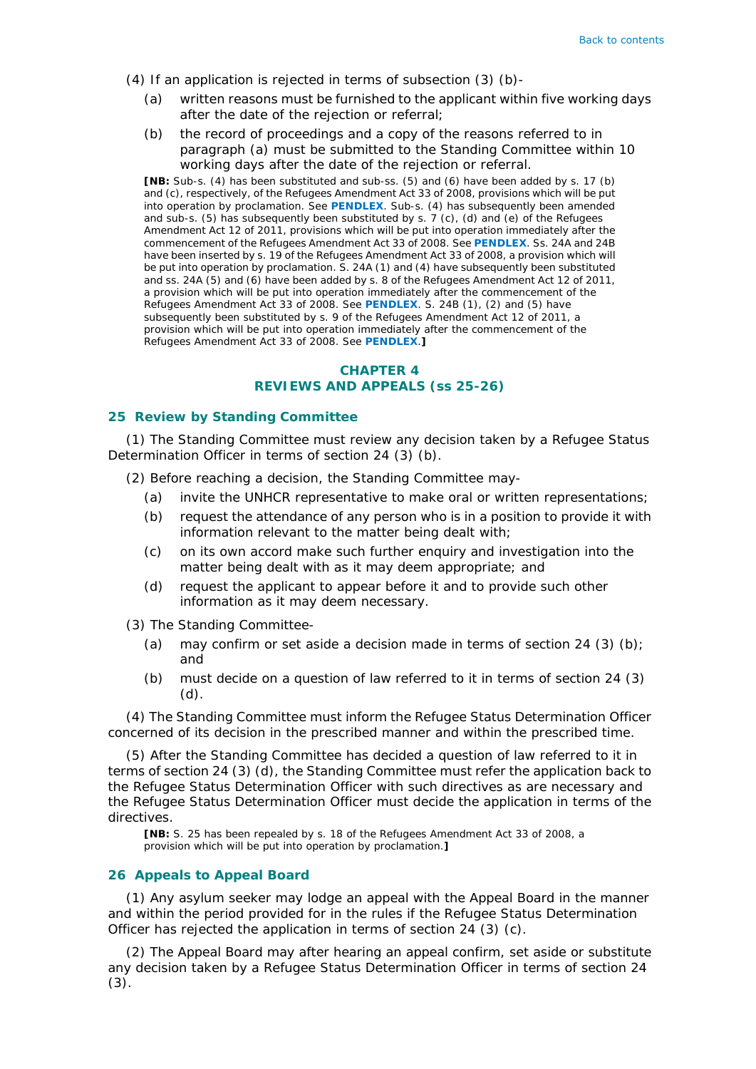- (4) If an application is rejected in terms of subsection (3) *(b)*
	- *(a)* written reasons must be furnished to the applicant within five working days after the date of the rejection or referral;
	- *(b)* the record of proceedings and a copy of the reasons referred to in paragraph *(a)* must be submitted to the Standing Committee within 10 working days after the date of the rejection or referral.

<span id="page-11-0"></span>**[NB:** Sub-s. (4) has been substituted and sub-ss. (5) and (6) have been added by s. 17 *(b)* and *(c)*, respectively, of the Refugees Amendment Act 33 of 2008, provisions which will be put into operation by proclamation. See **[PENDLEX](#page-16-0)**. Sub-s. (4) has subsequently been amended and sub-s. (5) has subsequently been substituted by s. 7 *(c)*, *(d)* and *(e)* of the Refugees Amendment Act 12 of 2011, provisions which will be put into operation immediately after the commencement of the Refugees Amendment Act 33 of 2008. See **[PENDLEX](#page-26-0)**. Ss. 24A and 24B have been inserted by s. 19 of the Refugees Amendment Act 33 of 2008, a provision which will be put into operation by proclamation. S. 24A (1) and (4) have subsequently been substituted and ss. 24A (5) and (6) have been added by s. 8 of the Refugees Amendment Act 12 of 2011, a provision which will be put into operation immediately after the commencement of the Refugees Amendment Act 33 of 2008. See **[PENDLEX](#page-16-0)**. S. 24B (1), (2) and (5) have subsequently been substituted by s. 9 of the Refugees Amendment Act 12 of 2011, a provision which will be put into operation immediately after the commencement of the Refugees Amendment Act 33 of 2008. See **[PENDLEX](#page-16-0)**.**]**

## **CHAPTER 4 REVIEWS AND APPEALS (ss 25-26)**

### **25 Review by Standing Committee**

(1) The Standing Committee must review any decision taken by a Refugee Status Determination Officer in terms of section 24 (3) *(b)*.

(2) Before reaching a decision, the Standing Committee may-

- *(a)* invite the UNHCR representative to make oral or written representations;
- *(b)* request the attendance of any person who is in a position to provide it with information relevant to the matter being dealt with;
- *(c)* on its own accord make such further enquiry and investigation into the matter being dealt with as it may deem appropriate; and
- *(d)* request the applicant to appear before it and to provide such other information as it may deem necessary.

(3) The Standing Committee-

- *(a)* may confirm or set aside a decision made in terms of section 24 (3) *(b)*; and
- *(b)* must decide on a question of law referred to it in terms of section 24 (3) *(d)*.

(4) The Standing Committee must inform the Refugee Status Determination Officer concerned of its decision in the prescribed manner and within the prescribed time.

(5) After the Standing Committee has decided a question of law referred to it in terms of section 24 (3) *(d)*, the Standing Committee must refer the application back to the Refugee Status Determination Officer with such directives as are necessary and the Refugee Status Determination Officer must decide the application in terms of the directives.

**[NB:** S. 25 has been repealed by s. 18 of the Refugees Amendment Act 33 of 2008, a provision which will be put into operation by proclamation.**]**

#### **26 Appeals to Appeal Board**

(1) Any asylum seeker may lodge an appeal with the Appeal Board in the manner and within the period provided for in the rules if the Refugee Status Determination Officer has rejected the application in terms of section 24 (3) *(c)*.

(2) The Appeal Board may after hearing an appeal confirm, set aside or substitute any decision taken by a Refugee Status Determination Officer in terms of section 24  $(3).$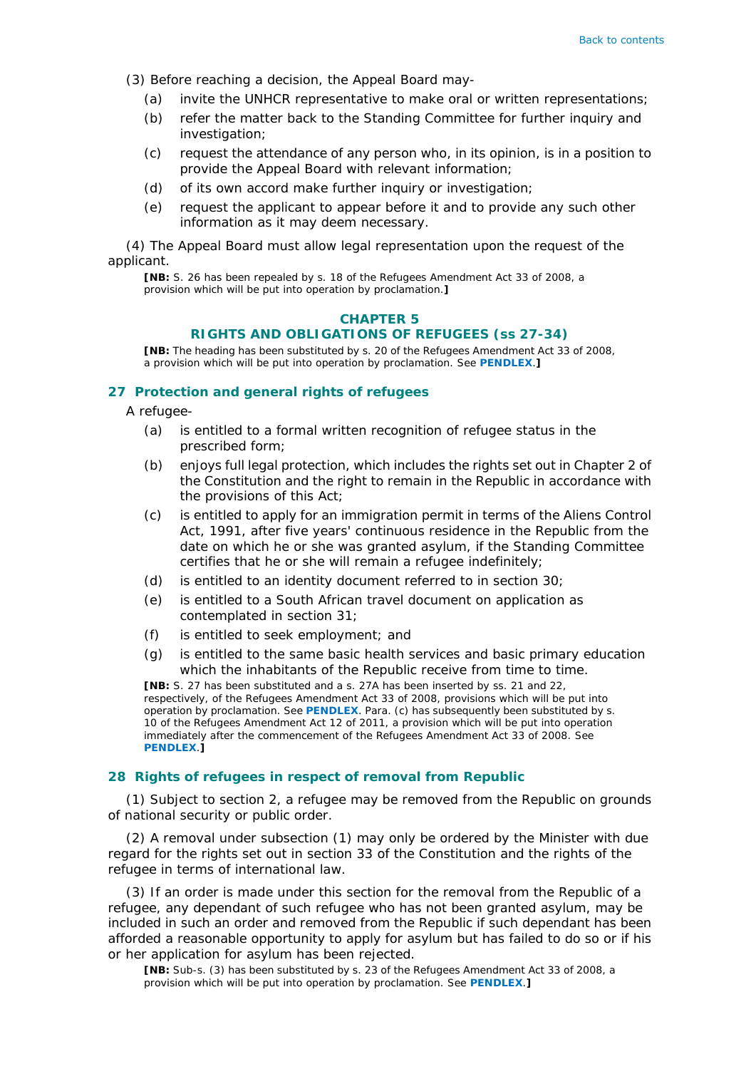- (3) Before reaching a decision, the Appeal Board may-
	- *(a)* invite the UNHCR representative to make oral or written representations;
	- *(b)* refer the matter back to the Standing Committee for further inquiry and investigation;
	- *(c)* request the attendance of any person who, in its opinion, is in a position to provide the Appeal Board with relevant information;
	- *(d)* of its own accord make further inquiry or investigation;
	- *(e)* request the applicant to appear before it and to provide any such other information as it may deem necessary.

<span id="page-12-0"></span>(4) The Appeal Board must allow legal representation upon the request of the applicant.

**[NB:** S. 26 has been repealed by s. 18 of the Refugees Amendment Act 33 of 2008, a provision which will be put into operation by proclamation.**]**

#### **CHAPTER 5**

#### **RIGHTS AND OBLIGATIONS OF REFUGEES (ss 27-34)**

**[NB:** The heading has been substituted by s. 20 of the Refugees Amendment Act 33 of 2008, a provision which will be put into operation by proclamation. See **[PENDLEX](#page-16-0)**.**]**

#### **27 Protection and general rights of refugees**

A refugee-

- *(a)* is entitled to a formal written recognition of refugee status in the prescribed form;
- *(b)* enjoys full legal protection, which includes the rights set out in Chapter 2 of the Constitution and the right to remain in the Republic in accordance with the provisions of this Act;
- *(c)* is entitled to apply for an immigration permit in terms of the Aliens Control Act, 1991, after five years' continuous residence in the Republic from the date on which he or she was granted asylum, if the Standing Committee certifies that he or she will remain a refugee indefinitely;
- *(d)* is entitled to an identity document referred to in section 30;
- *(e)* is entitled to a South African travel document on application as contemplated in section 31;
- *(f)* is entitled to seek employment; and
- *(g)* is entitled to the same basic health services and basic primary education which the inhabitants of the Republic receive from time to time.

<span id="page-12-1"></span>**[NB:** S. 27 has been substituted and a s. 27A has been inserted by ss. 21 and 22, respectively, of the Refugees Amendment Act 33 of 2008, provisions which will be put into operation by proclamation. See **[PENDLEX](#page-16-0)**. Para. *(c)* has subsequently been substituted by s. 10 of the Refugees Amendment Act 12 of 2011, a provision which will be put into operation immediately after the commencement of the Refugees Amendment Act 33 of 2008. See **[PENDLEX](#page-16-0)**.**]**

#### **28 Rights of refugees in respect of removal from Republic**

(1) Subject to section 2, a refugee may be removed from the Republic on grounds of national security or public order.

(2) A removal under subsection (1) may only be ordered by the Minister with due regard for the rights set out in section 33 of the Constitution and the rights of the refugee in terms of international law.

(3) If an order is made under this section for the removal from the Republic of a refugee, any dependant of such refugee who has not been granted asylum, may be included in such an order and removed from the Republic if such dependant has been afforded a reasonable opportunity to apply for asylum but has failed to do so or if his or her application for asylum has been rejected.

**[NB:** Sub-s. (3) has been substituted by s. 23 of the Refugees Amendment Act 33 of 2008, a provision which will be put into operation by proclamation. See **[PENDLEX](#page-16-0)**.**]**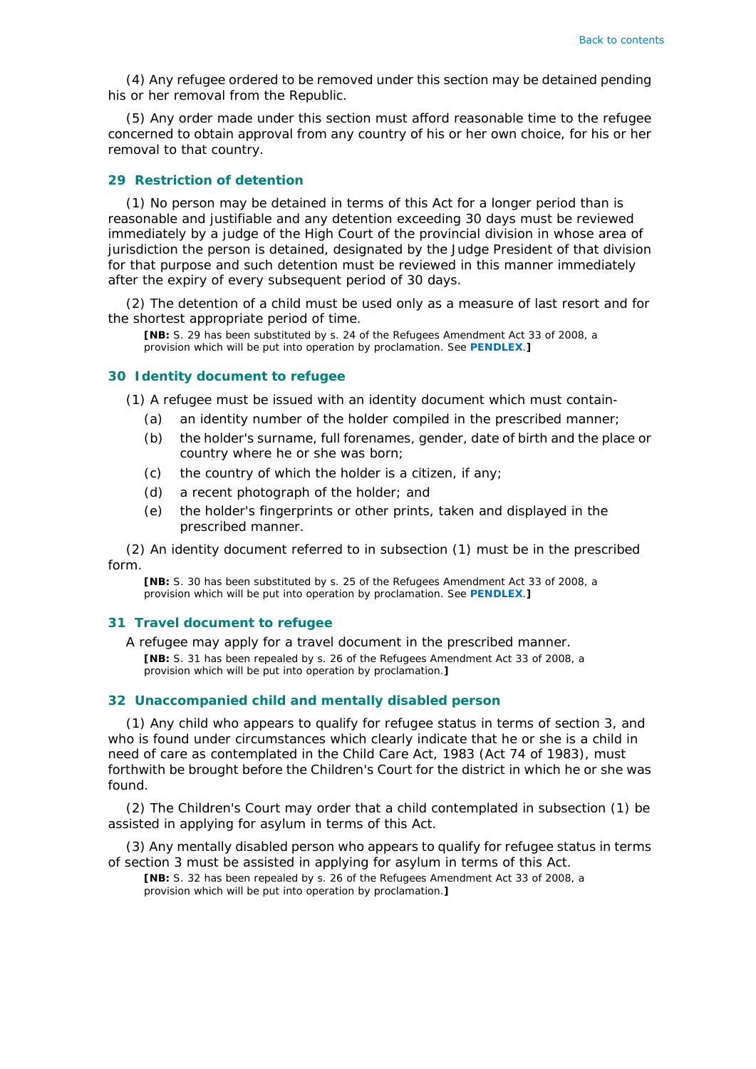<span id="page-13-0"></span>(4) Any refugee ordered to be removed under this section may be detained pending his or her removal from the Republic.

(5) Any order made under this section must afford reasonable time to the refugee concerned to obtain approval from any country of his or her own choice, for his or her removal to that country.

## **29 Restriction of detention**

(1) No person may be detained in terms of this Act for a longer period than is reasonable and justifiable and any detention exceeding 30 days must be reviewed immediately by a judge of the High Court of the provincial division in whose area of jurisdiction the person is detained, designated by the Judge President of that division for that purpose and such detention must be reviewed in this manner immediately after the expiry of every subsequent period of 30 days.

<span id="page-13-1"></span>(2) The detention of a child must be used only as a measure of last resort and for the shortest appropriate period of time.

**[NB:** S. 29 has been substituted by s. 24 of the Refugees Amendment Act 33 of 2008, a provision which will be put into operation by proclamation. See **[PENDLEX](#page-16-0)**.**]**

#### <span id="page-13-2"></span>**30 Identity document to refugee**

(1) A refugee must be issued with an identity document which must contain-

- *(a)* an identity number of the holder compiled in the prescribed manner;
- *(b)* the holder's surname, full forenames, gender, date of birth and the place or country where he or she was born;
- *(c)* the country of which the holder is a citizen, if any;
- *(d)* a recent photograph of the holder; and
- *(e)* the holder's fingerprints or other prints, taken and displayed in the prescribed manner.

(2) An identity document referred to in subsection (1) must be in the prescribed form.

**[NB:** S. 30 has been substituted by s. 25 of the Refugees Amendment Act 33 of 2008, a provision which will be put into operation by proclamation. See **[PENDLEX](#page-16-0)**.**]**

### **31 Travel document to refugee**

A refugee may apply for a travel document in the prescribed manner. **[NB:** S. 31 has been repealed by s. 26 of the Refugees Amendment Act 33 of 2008, a provision which will be put into operation by proclamation.**]**

## **32 Unaccompanied child and mentally disabled person**

(1) Any child who appears to qualify for refugee status in terms of section 3, and who is found under circumstances which clearly indicate that he or she is a child in need of care as contemplated in the Child Care Act, 1983 (Act 74 of 1983), must forthwith be brought before the Children's Court for the district in which he or she was found.

(2) The Children's Court may order that a child contemplated in subsection (1) be assisted in applying for asylum in terms of this Act.

(3) Any mentally disabled person who appears to qualify for refugee status in terms of section 3 must be assisted in applying for asylum in terms of this Act.

**[NB:** S. 32 has been repealed by s. 26 of the Refugees Amendment Act 33 of 2008, a provision which will be put into operation by proclamation.**]**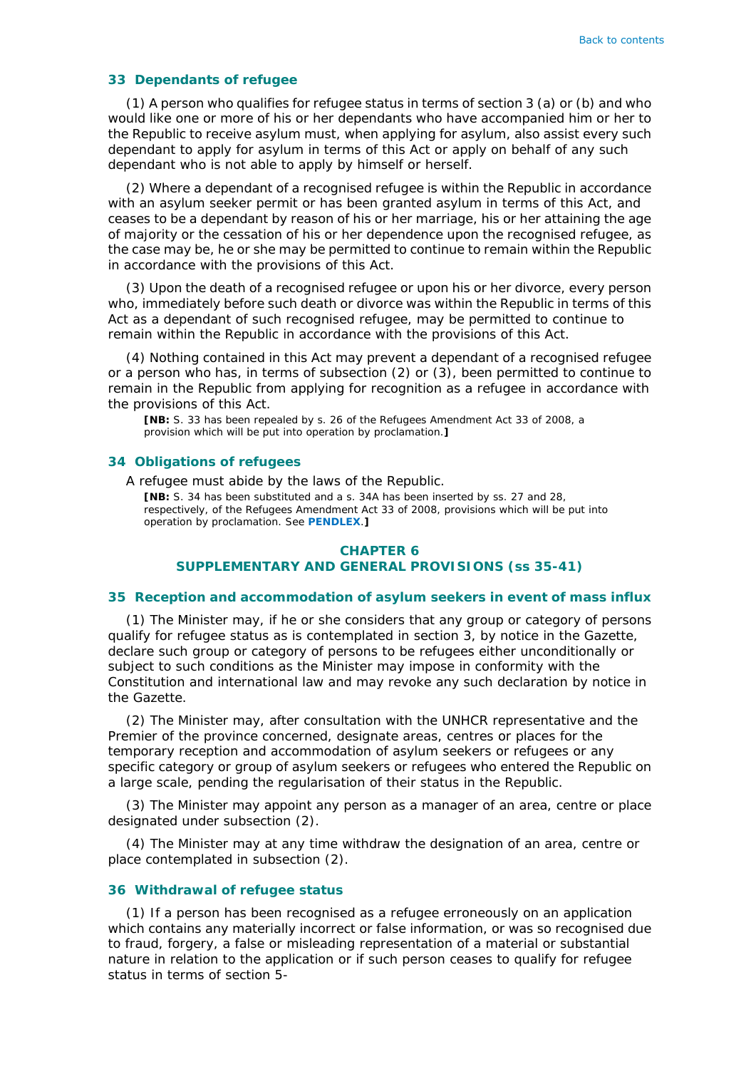## <span id="page-14-0"></span>**33 Dependants of refugee**

(1) A person who qualifies for refugee status in terms of section 3 *(a)* or *(b)* and who would like one or more of his or her dependants who have accompanied him or her to the Republic to receive asylum must, when applying for asylum, also assist every such dependant to apply for asylum in terms of this Act or apply on behalf of any such dependant who is not able to apply by himself or herself.

(2) Where a dependant of a recognised refugee is within the Republic in accordance with an asylum seeker permit or has been granted asylum in terms of this Act, and ceases to be a dependant by reason of his or her marriage, his or her attaining the age of majority or the cessation of his or her dependence upon the recognised refugee, as the case may be, he or she may be permitted to continue to remain within the Republic in accordance with the provisions of this Act.

<span id="page-14-1"></span>(3) Upon the death of a recognised refugee or upon his or her divorce, every person who, immediately before such death or divorce was within the Republic in terms of this Act as a dependant of such recognised refugee, may be permitted to continue to remain within the Republic in accordance with the provisions of this Act.

(4) Nothing contained in this Act may prevent a dependant of a recognised refugee or a person who has, in terms of subsection (2) or (3), been permitted to continue to remain in the Republic from applying for recognition as a refugee in accordance with the provisions of this Act.

**[NB:** S. 33 has been repealed by s. 26 of the Refugees Amendment Act 33 of 2008, a provision which will be put into operation by proclamation.**]**

#### <span id="page-14-2"></span>**34 Obligations of refugees**

A refugee must abide by the laws of the Republic.

**[NB:** S. 34 has been substituted and a s. 34A has been inserted by ss. 27 and 28, respectively, of the Refugees Amendment Act 33 of 2008, provisions which will be put into operation by proclamation. See **[PENDLEX](#page-16-0)**.**]**

## **CHAPTER 6 SUPPLEMENTARY AND GENERAL PROVISIONS (ss 35-41)**

#### **35 Reception and accommodation of asylum seekers in event of mass influx**

(1) The Minister may, if he or she considers that any group or category of persons qualify for refugee status as is contemplated in section 3, by notice in the *Gazette*, declare such group or category of persons to be refugees either unconditionally or subject to such conditions as the Minister may impose in conformity with the Constitution and international law and may revoke any such declaration by notice in the *Gazette*.

<span id="page-14-3"></span>(2) The Minister may, after consultation with the UNHCR representative and the Premier of the province concerned, designate areas, centres or places for the temporary reception and accommodation of asylum seekers or refugees or any specific category or group of asylum seekers or refugees who entered the Republic on a large scale, pending the regularisation of their status in the Republic.

(3) The Minister may appoint any person as a manager of an area, centre or place designated under subsection (2).

(4) The Minister may at any time withdraw the designation of an area, centre or place contemplated in subsection (2).

#### **36 Withdrawal of refugee status**

(1) If a person has been recognised as a refugee erroneously on an application which contains any materially incorrect or false information, or was so recognised due to fraud, forgery, a false or misleading representation of a material or substantial nature in relation to the application or if such person ceases to qualify for refugee status in terms of section 5-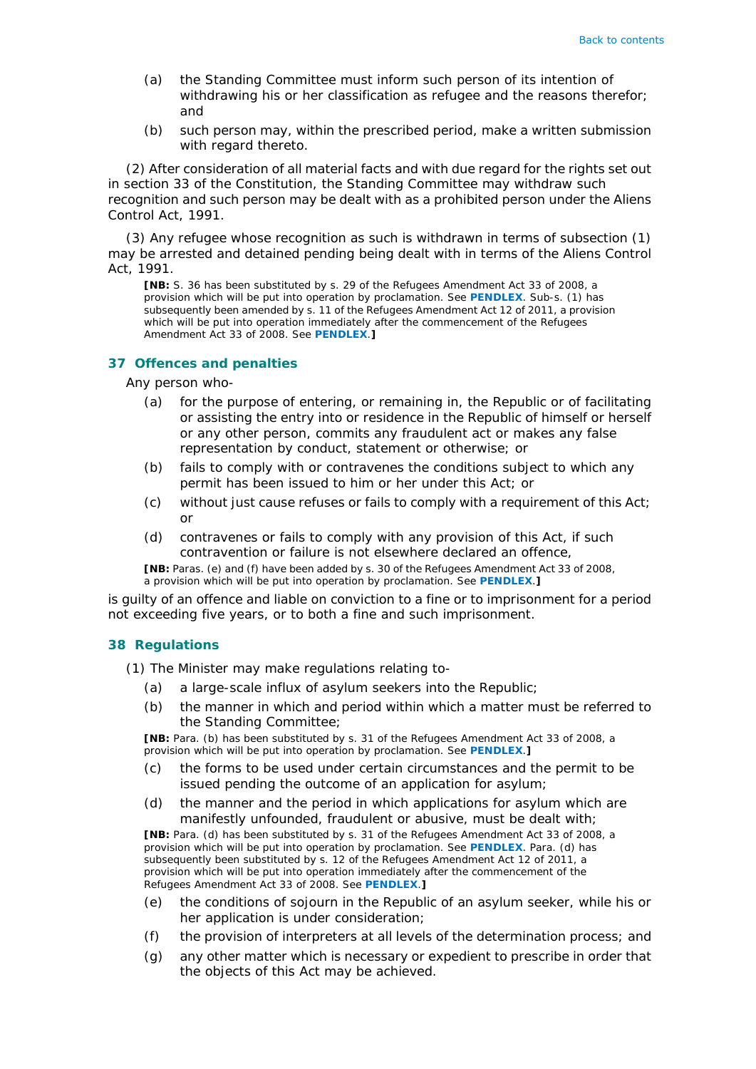- *(a)* the Standing Committee must inform such person of its intention of withdrawing his or her classification as refugee and the reasons therefor; and
- *(b)* such person may, within the prescribed period, make a written submission with regard thereto.

(2) After consideration of all material facts and with due regard for the rights set out in section 33 of the Constitution, the Standing Committee may withdraw such recognition and such person may be dealt with as a prohibited person under the Aliens Control Act, 1991.

<span id="page-15-0"></span>(3) Any refugee whose recognition as such is withdrawn in terms of subsection (1) may be arrested and detained pending being dealt with in terms of the Aliens Control Act, 1991.

**[NB:** S. 36 has been substituted by s. 29 of the Refugees Amendment Act 33 of 2008, a provision which will be put into operation by proclamation. See **[PENDLEX](#page-16-0)**. Sub-s. (1) has subsequently been amended by s. 11 of the Refugees Amendment Act 12 of 2011, a provision which will be put into operation immediately after the commencement of the Refugees Amendment Act 33 of 2008. See **[PENDLEX](#page-16-0)**.**]**

## **37 Offences and penalties**

Any person who-

- *(a)* for the purpose of entering, or remaining in, the Republic or of facilitating or assisting the entry into or residence in the Republic of himself or herself or any other person, commits any fraudulent act or makes any false representation by conduct, statement or otherwise; or
- <span id="page-15-1"></span>*(b)* fails to comply with or contravenes the conditions subject to which any permit has been issued to him or her under this Act; or
- *(c)* without just cause refuses or fails to comply with a requirement of this Act; or
- *(d)* contravenes or fails to comply with any provision of this Act, if such contravention or failure is not elsewhere declared an offence,

**[NB:** Paras. *(e)* and *(f)* have been added by s. 30 of the Refugees Amendment Act 33 of 2008, a provision which will be put into operation by proclamation. See **[PENDLEX](#page-16-0)**.**]**

is guilty of an offence and liable on conviction to a fine or to imprisonment for a period not exceeding five years, or to both a fine and such imprisonment.

## **38 Regulations**

(1) The Minister may make regulations relating to-

- *(a)* a large-scale influx of asylum seekers into the Republic;
- *(b)* the manner in which and period within which a matter must be referred to the Standing Committee;

**[NB:** Para. *(b)* has been substituted by s. 31 of the Refugees Amendment Act 33 of 2008, a provision which will be put into operation by proclamation. See **[PENDLEX](#page-16-0)**.**]**

- *(c)* the forms to be used under certain circumstances and the permit to be issued pending the outcome of an application for asylum;
- *(d)* the manner and the period in which applications for asylum which are manifestly unfounded, fraudulent or abusive, must be dealt with;

**[NB:** Para. *(d)* has been substituted by s. 31 of the Refugees Amendment Act 33 of 2008, a provision which will be put into operation by proclamation. See **[PENDLEX](#page-16-0)**. Para. *(d)* has subsequently been substituted by s. 12 of the Refugees Amendment Act 12 of 2011, a provision which will be put into operation immediately after the commencement of the Refugees Amendment Act 33 of 2008. See **[PENDLEX](#page-16-0)**.**]**

- *(e)* the conditions of sojourn in the Republic of an asylum seeker, while his or her application is under consideration;
- *(f)* the provision of interpreters at all levels of the determination process; and
- *(g)* any other matter which is necessary or expedient to prescribe in order that the objects of this Act may be achieved.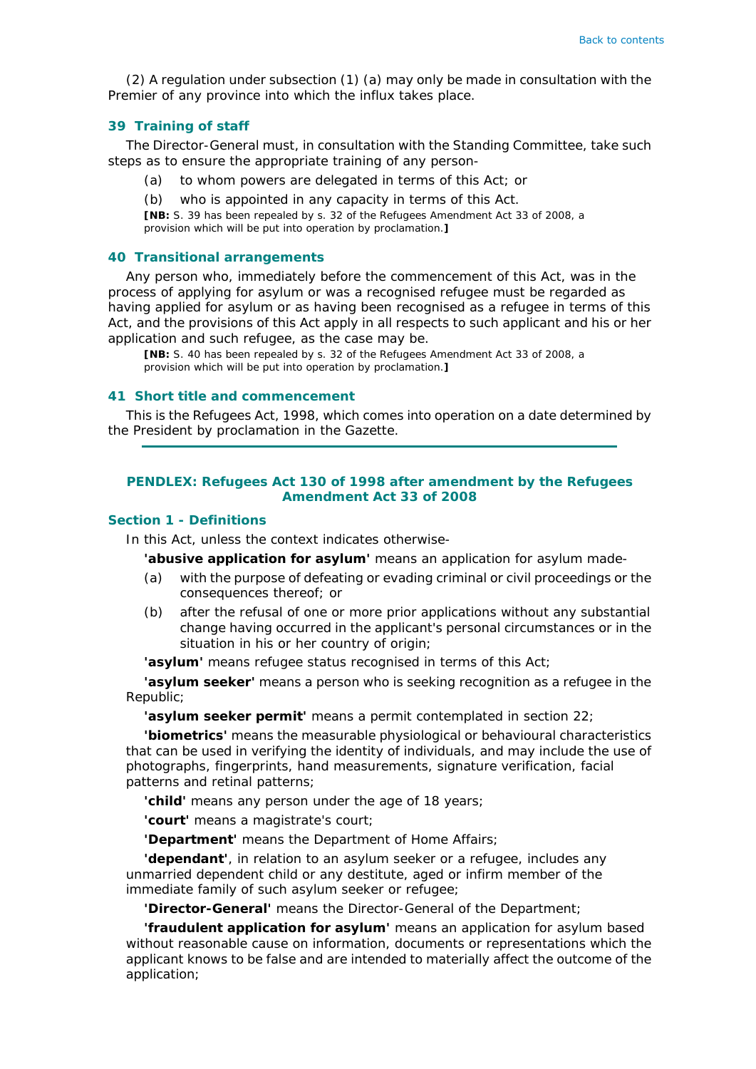<span id="page-16-1"></span>(2) A regulation under subsection (1) *(a)* may only be made in consultation with the Premier of any province into which the influx takes place.

### <span id="page-16-2"></span>**39 Training of staff**

The Director-General must, in consultation with the Standing Committee, take such steps as to ensure the appropriate training of any person-

- *(a)* to whom powers are delegated in terms of this Act; or
- *(b)* who is appointed in any capacity in terms of this Act.

**[NB:** S. 39 has been repealed by s. 32 of the Refugees Amendment Act 33 of 2008, a provision which will be put into operation by proclamation.**]**

#### **40 Transitional arrangements**

<span id="page-16-0"></span>Any person who, immediately before the commencement of this Act, was in the process of applying for asylum or was a recognised refugee must be regarded as having applied for asylum or as having been recognised as a refugee in terms of this Act, and the provisions of this Act apply in all respects to such applicant and his or her application and such refugee, as the case may be.

**[NB:** S. 40 has been repealed by s. 32 of the Refugees Amendment Act 33 of 2008, a provision which will be put into operation by proclamation.**]**

## **41 Short title and commencement**

This is the Refugees Act, 1998, which comes into operation on a date determined by the President by proclamation in the *Gazette*.

## **PENDLEX:** *Refugees Act 130 of* **1998 after amendment by the Refugees Amendment Act 33 of 2008**

## **Section 1 - Definitions**

In this Act, unless the context indicates otherwise-

**'abusive application for asylum'** means an application for asylum made-

- *(a)* with the purpose of defeating or evading criminal or civil proceedings or the consequences thereof; or
- *(b)* after the refusal of one or more prior applications without any substantial change having occurred in the applicant's personal circumstances or in the situation in his or her country of origin;

**'asylum'** means refugee status recognised in terms of this Act;

**'asylum seeker'** means a person who is seeking recognition as a refugee in the Republic;

**'asylum seeker permit'** means a permit contemplated in section 22;

**'biometrics'** means the measurable physiological or behavioural characteristics that can be used in verifying the identity of individuals, and may include the use of photographs, fingerprints, hand measurements, signature verification, facial patterns and retinal patterns;

**'child'** means any person under the age of 18 years;

**'court'** means a magistrate's court;

**'Department'** means the Department of Home Affairs;

**'dependant'**, in relation to an asylum seeker or a refugee, includes any unmarried dependent child or any destitute, aged or infirm member of the immediate family of such asylum seeker or refugee;

**'Director-General'** means the Director-General of the Department;

**'fraudulent application for asylum'** means an application for asylum based without reasonable cause on information, documents or representations which the applicant knows to be false and are intended to materially affect the outcome of the application;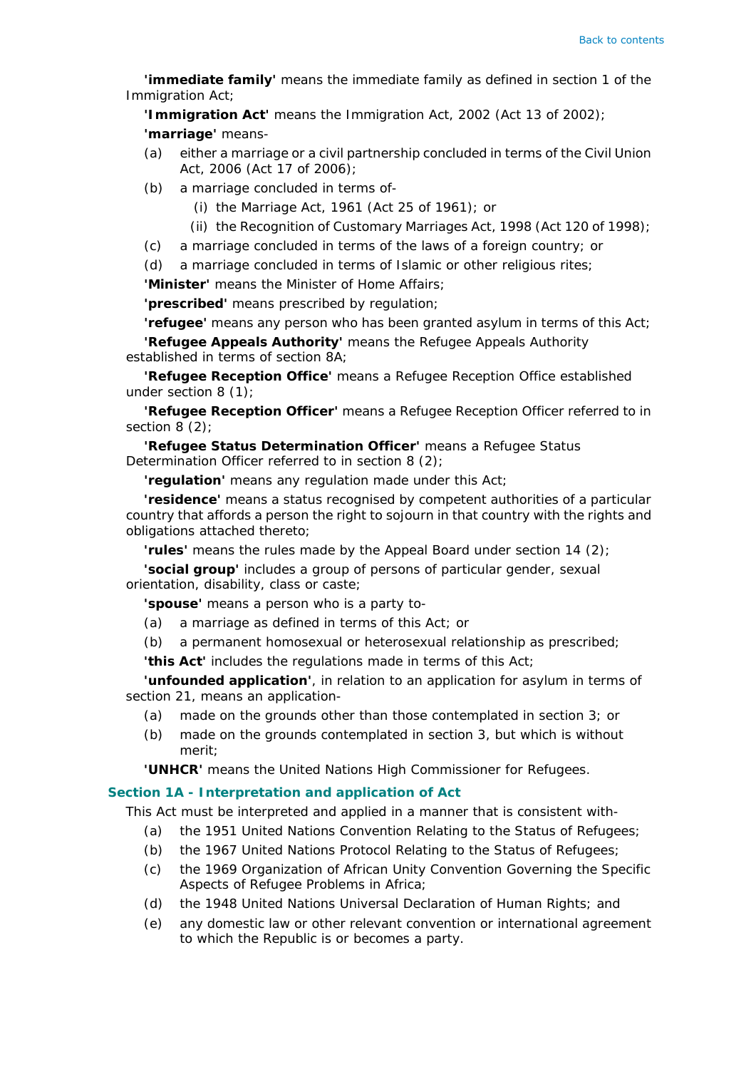**'immediate family'** means the immediate family as defined in section 1 of the Immigration Act;

**'Immigration Act'** means the Immigration Act, 2002 (Act 13 of 2002);

## **'marriage'** means-

- *(a)* either a marriage or a civil partnership concluded in terms of the Civil Union Act, 2006 (Act 17 of 2006);
- *(b)* a marriage concluded in terms of-
	- (i) the Marriage Act, 1961 (Act 25 of 1961); or
	- (ii) the Recognition of Customary Marriages Act, 1998 (Act 120 of 1998);
- *(c)* a marriage concluded in terms of the laws of a foreign country; or
- *(d)* a marriage concluded in terms of Islamic or other religious rites;

**'Minister'** means the Minister of Home Affairs;

**'prescribed'** means prescribed by regulation;

**'refugee'** means any person who has been granted asylum in terms of this Act;

**'Refugee Appeals Authority'** means the Refugee Appeals Authority established in terms of section 8A;

**'Refugee Reception Office'** means a Refugee Reception Office established under section 8 (1);

**'Refugee Reception Officer'** means a Refugee Reception Officer referred to in section 8 (2);

**'Refugee Status Determination Officer'** means a Refugee Status Determination Officer referred to in section 8 (2);

**'regulation'** means any regulation made under this Act;

**'residence'** means a status recognised by competent authorities of a particular country that affords a person the right to sojourn in that country with the rights and obligations attached thereto;

**'rules'** means the rules made by the Appeal Board under section 14 (2);

**'social group'** includes a group of persons of particular gender, sexual orientation, disability, class or caste;

**'spouse'** means a person who is a party to-

- *(a)* a marriage as defined in terms of this Act; or
- *(b)* a permanent homosexual or heterosexual relationship as prescribed;

**'this Act'** includes the regulations made in terms of this Act;

**'unfounded application'**, in relation to an application for asylum in terms of section 21, means an application-

- *(a)* made on the grounds other than those contemplated in section 3; or
- *(b)* made on the grounds contemplated in section 3, but which is without merit;

**'UNHCR'** means the United Nations High Commissioner for Refugees.

## **Section 1A - Interpretation and application of Act**

This Act must be interpreted and applied in a manner that is consistent with-

- *(a)* the 1951 United Nations Convention Relating to the Status of Refugees;
- *(b)* the 1967 United Nations Protocol Relating to the Status of Refugees;
- *(c)* the 1969 Organization of African Unity Convention Governing the Specific Aspects of Refugee Problems in Africa;
- *(d)* the 1948 United Nations Universal Declaration of Human Rights; and
- *(e)* any domestic law or other relevant convention or international agreement to which the Republic is or becomes a party.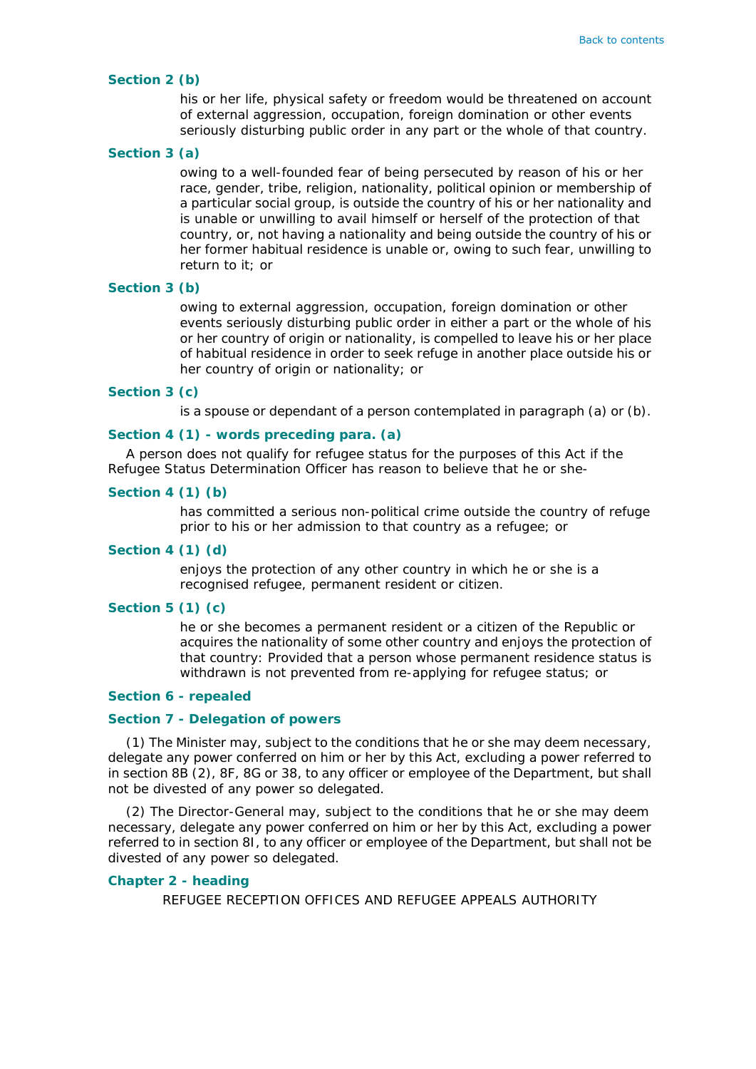## **Section 2** *(b)*

his or her life, physical safety or freedom would be threatened on account of external aggression, occupation, foreign domination or other events seriously disturbing public order in any part or the whole of that country.

#### **Section 3** *(a)*

owing to a well-founded fear of being persecuted by reason of his or her race, gender, tribe, religion, nationality, political opinion or membership of a particular social group, is outside the country of his or her nationality and is unable or unwilling to avail himself or herself of the protection of that country, or, not having a nationality and being outside the country of his or her former habitual residence is unable or, owing to such fear, unwilling to return to it; or

#### **Section 3** *(b)*

owing to external aggression, occupation, foreign domination or other events seriously disturbing public order in either a part or the whole of his or her country of origin or nationality, is compelled to leave his or her place of habitual residence in order to seek refuge in another place outside his or her country of origin or nationality; or

#### **Section 3** *(c)*

is a spouse or dependant of a person contemplated in paragraph *(a)* or *(b)*.

### **Section 4 (1) - words preceding para.** *(a)*

A person does not qualify for refugee status for the purposes of this Act if the Refugee Status Determination Officer has reason to believe that he or she-

## **Section 4 (1)** *(b)*

has committed a serious non-political crime outside the country of refuge prior to his or her admission to that country as a refugee; or

## **Section 4 (1)** *(d)*

enjoys the protection of any other country in which he or she is a recognised refugee, permanent resident or citizen.

## **Section 5 (1)** *(c)*

he or she becomes a permanent resident or a citizen of the Republic or acquires the nationality of some other country and enjoys the protection of that country: Provided that a person whose permanent residence status is withdrawn is not prevented from re-applying for refugee status; or

### **Section 6 - repealed**

#### **Section 7 - Delegation of powers**

(1) The Minister may, subject to the conditions that he or she may deem necessary, delegate any power conferred on him or her by this Act, excluding a power referred to in section 8B (2), 8F, 8G or 38, to any officer or employee of the Department, but shall not be divested of any power so delegated.

(2) The Director-General may, subject to the conditions that he or she may deem necessary, delegate any power conferred on him or her by this Act, excluding a power referred to in section 8I, to any officer or employee of the Department, but shall not be divested of any power so delegated.

## **Chapter 2 - heading**

REFUGEE RECEPTION OFFICES AND REFUGEE APPEALS AUTHORITY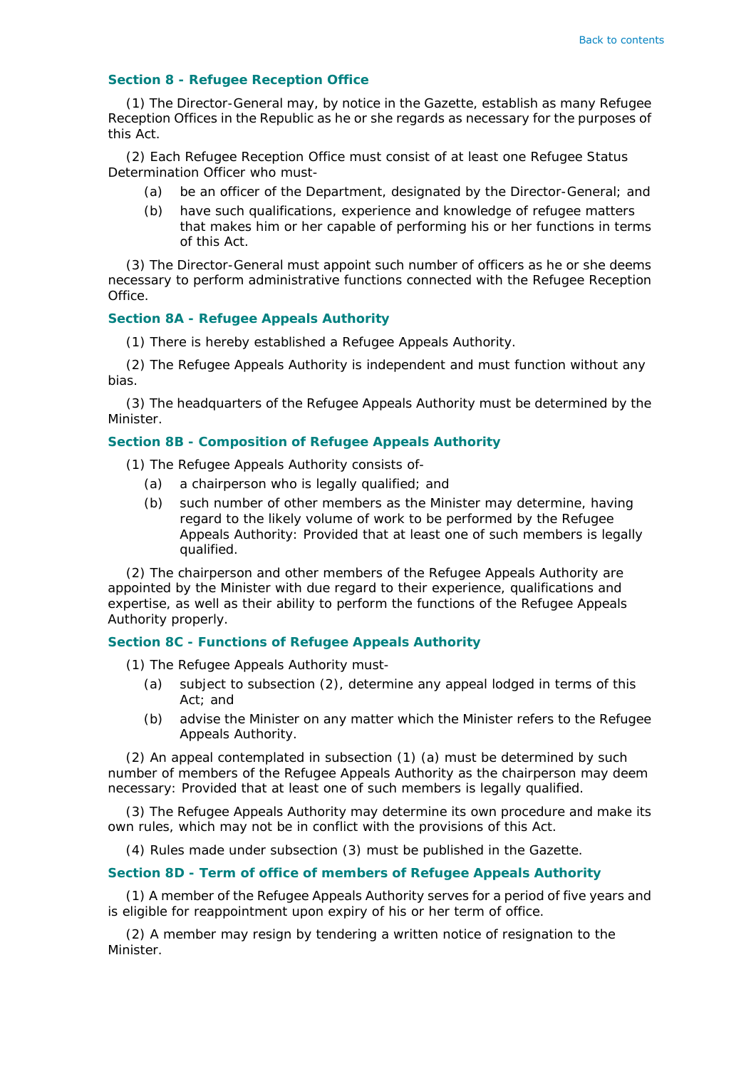## **Section 8 - Refugee Reception Office**

(1) The Director-General may, by notice in the *Gazette*, establish as many Refugee Reception Offices in the Republic as he or she regards as necessary for the purposes of this Act.

(2) Each Refugee Reception Office must consist of at least one Refugee Status Determination Officer who must-

- *(a)* be an officer of the Department, designated by the Director-General; and
- *(b)* have such qualifications, experience and knowledge of refugee matters that makes him or her capable of performing his or her functions in terms of this Act.

(3) The Director-General must appoint such number of officers as he or she deems necessary to perform administrative functions connected with the Refugee Reception Office.

#### **Section 8A - Refugee Appeals Authority**

(1) There is hereby established a Refugee Appeals Authority.

(2) The Refugee Appeals Authority is independent and must function without any bias.

(3) The headquarters of the Refugee Appeals Authority must be determined by the Minister.

### **Section 8B - Composition of Refugee Appeals Authority**

(1) The Refugee Appeals Authority consists of-

- *(a)* a chairperson who is legally qualified; and
- *(b)* such number of other members as the Minister may determine, having regard to the likely volume of work to be performed by the Refugee Appeals Authority: Provided that at least one of such members is legally qualified.

(2) The chairperson and other members of the Refugee Appeals Authority are appointed by the Minister with due regard to their experience, qualifications and expertise, as well as their ability to perform the functions of the Refugee Appeals Authority properly.

## **Section 8C - Functions of Refugee Appeals Authority**

(1) The Refugee Appeals Authority must-

- *(a)* subject to subsection (2), determine any appeal lodged in terms of this Act; and
- *(b)* advise the Minister on any matter which the Minister refers to the Refugee Appeals Authority.

(2) An appeal contemplated in subsection (1) *(a)* must be determined by such number of members of the Refugee Appeals Authority as the chairperson may deem necessary: Provided that at least one of such members is legally qualified.

(3) The Refugee Appeals Authority may determine its own procedure and make its own rules, which may not be in conflict with the provisions of this Act.

(4) Rules made under subsection (3) must be published in the *Gazette*.

### **Section 8D - Term of office of members of Refugee Appeals Authority**

(1) A member of the Refugee Appeals Authority serves for a period of five years and is eligible for reappointment upon expiry of his or her term of office.

(2) A member may resign by tendering a written notice of resignation to the Minister.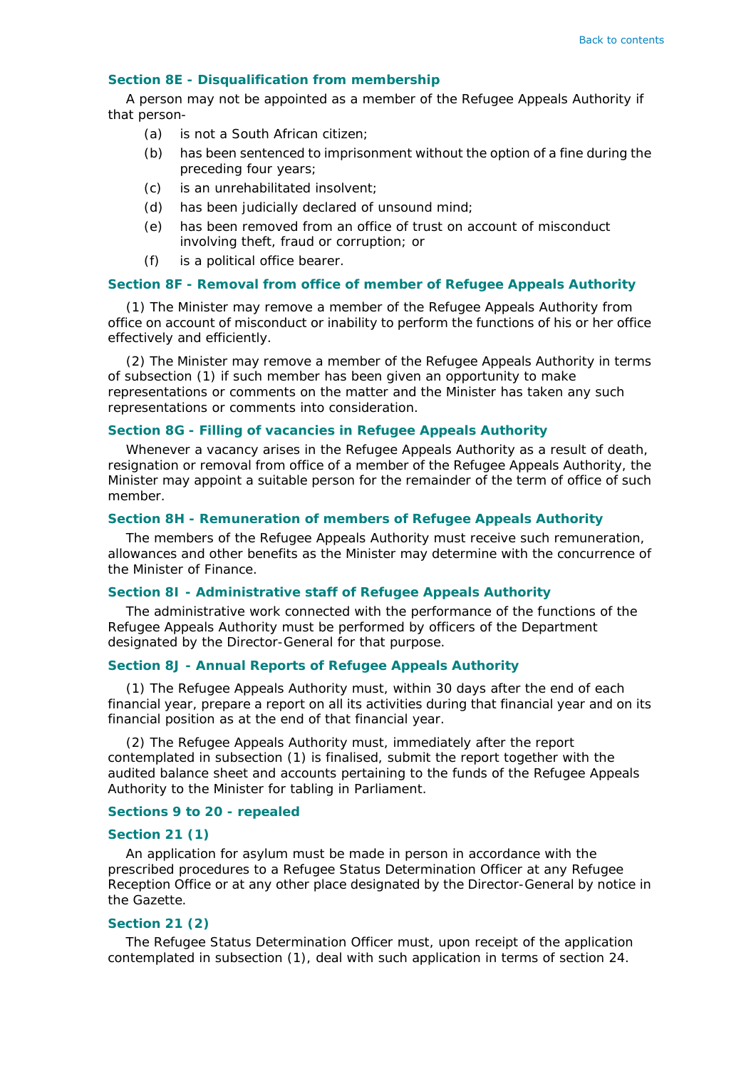### **Section 8E - Disqualification from membership**

A person may not be appointed as a member of the Refugee Appeals Authority if that person-

- *(a)* is not a South African citizen;
- *(b)* has been sentenced to imprisonment without the option of a fine during the preceding four years;
- *(c)* is an unrehabilitated insolvent;
- *(d)* has been judicially declared of unsound mind;
- *(e)* has been removed from an office of trust on account of misconduct involving theft, fraud or corruption; or
- *(f)* is a political office bearer.

### **Section 8F - Removal from office of member of Refugee Appeals Authority**

(1) The Minister may remove a member of the Refugee Appeals Authority from office on account of misconduct or inability to perform the functions of his or her office effectively and efficiently.

(2) The Minister may remove a member of the Refugee Appeals Authority in terms of subsection (1) if such member has been given an opportunity to make representations or comments on the matter and the Minister has taken any such representations or comments into consideration.

### **Section 8G - Filling of vacancies in Refugee Appeals Authority**

Whenever a vacancy arises in the Refugee Appeals Authority as a result of death, resignation or removal from office of a member of the Refugee Appeals Authority, the Minister may appoint a suitable person for the remainder of the term of office of such member.

#### **Section 8H - Remuneration of members of Refugee Appeals Authority**

The members of the Refugee Appeals Authority must receive such remuneration, allowances and other benefits as the Minister may determine with the concurrence of the Minister of Finance.

## **Section 8I - Administrative staff of Refugee Appeals Authority**

The administrative work connected with the performance of the functions of the Refugee Appeals Authority must be performed by officers of the Department designated by the Director-General for that purpose.

### **Section 8J - Annual Reports of Refugee Appeals Authority**

(1) The Refugee Appeals Authority must, within 30 days after the end of each financial year, prepare a report on all its activities during that financial year and on its financial position as at the end of that financial year.

(2) The Refugee Appeals Authority must, immediately after the report contemplated in subsection (1) is finalised, submit the report together with the audited balance sheet and accounts pertaining to the funds of the Refugee Appeals Authority to the Minister for tabling in Parliament.

#### **Sections 9 to 20 - repealed**

#### **Section 21 (1)**

An application for asylum must be made in person in accordance with the prescribed procedures to a Refugee Status Determination Officer at any Refugee Reception Office or at any other place designated by the Director-General by notice in the *Gazette*.

### **Section 21 (2)**

The Refugee Status Determination Officer must, upon receipt of the application contemplated in subsection (1), deal with such application in terms of section 24.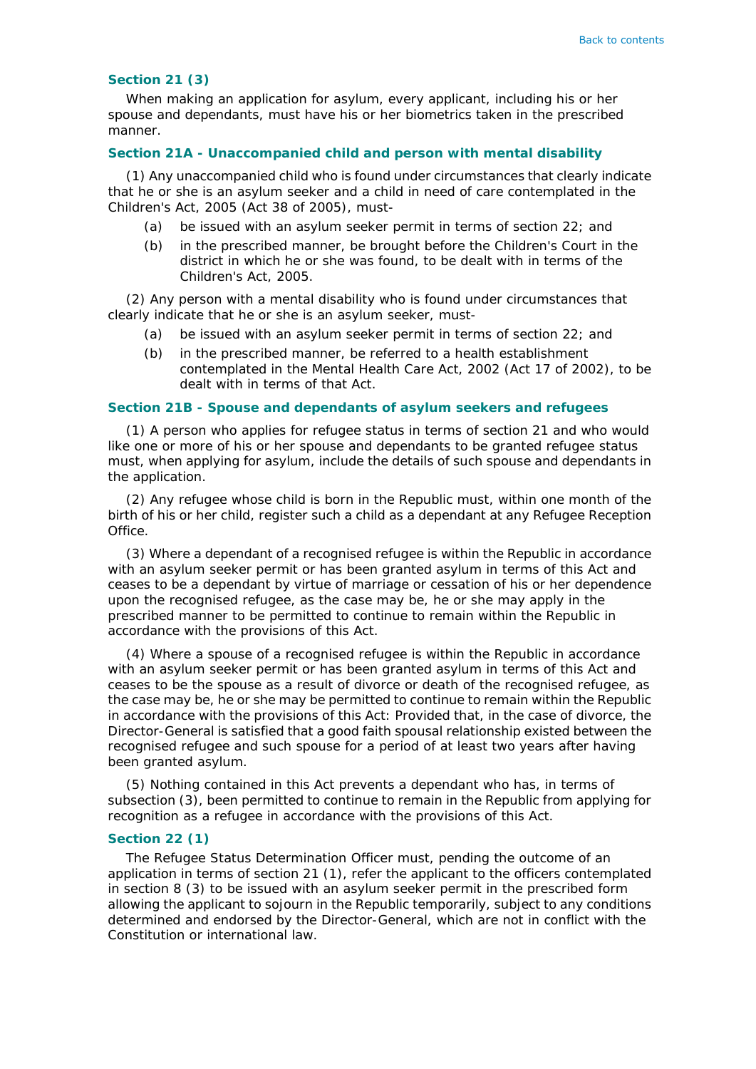### **Section 21 (3)**

When making an application for asylum, every applicant, including his or her spouse and dependants, must have his or her biometrics taken in the prescribed manner.

### **Section 21A - Unaccompanied child and person with mental disability**

(1) Any unaccompanied child who is found under circumstances that clearly indicate that he or she is an asylum seeker and a child in need of care contemplated in the Children's Act, 2005 (Act 38 of 2005), must-

- *(a)* be issued with an asylum seeker permit in terms of section 22; and
- *(b)* in the prescribed manner, be brought before the Children's Court in the district in which he or she was found, to be dealt with in terms of the Children's Act, 2005.

(2) Any person with a mental disability who is found under circumstances that clearly indicate that he or she is an asylum seeker, must-

- *(a)* be issued with an asylum seeker permit in terms of section 22; and
- *(b)* in the prescribed manner, be referred to a health establishment contemplated in the Mental Health Care Act, 2002 (Act 17 of 2002), to be dealt with in terms of that Act.

#### **Section 21B - Spouse and dependants of asylum seekers and refugees**

(1) A person who applies for refugee status in terms of section 21 and who would like one or more of his or her spouse and dependants to be granted refugee status must, when applying for asylum, include the details of such spouse and dependants in the application.

(2) Any refugee whose child is born in the Republic must, within one month of the birth of his or her child, register such a child as a dependant at any Refugee Reception Office.

(3) Where a dependant of a recognised refugee is within the Republic in accordance with an asylum seeker permit or has been granted asylum in terms of this Act and ceases to be a dependant by virtue of marriage or cessation of his or her dependence upon the recognised refugee, as the case may be, he or she may apply in the prescribed manner to be permitted to continue to remain within the Republic in accordance with the provisions of this Act.

(4) Where a spouse of a recognised refugee is within the Republic in accordance with an asylum seeker permit or has been granted asylum in terms of this Act and ceases to be the spouse as a result of divorce or death of the recognised refugee, as the case may be, he or she may be permitted to continue to remain within the Republic in accordance with the provisions of this Act: Provided that, in the case of divorce, the Director-General is satisfied that a good faith spousal relationship existed between the recognised refugee and such spouse for a period of at least two years after having been granted asylum.

(5) Nothing contained in this Act prevents a dependant who has, in terms of subsection (3), been permitted to continue to remain in the Republic from applying for recognition as a refugee in accordance with the provisions of this Act.

### **Section 22 (1)**

The Refugee Status Determination Officer must, pending the outcome of an application in terms of section 21 (1), refer the applicant to the officers contemplated in section 8 (3) to be issued with an asylum seeker permit in the prescribed form allowing the applicant to sojourn in the Republic temporarily, subject to any conditions determined and endorsed by the Director-General, which are not in conflict with the Constitution or international law.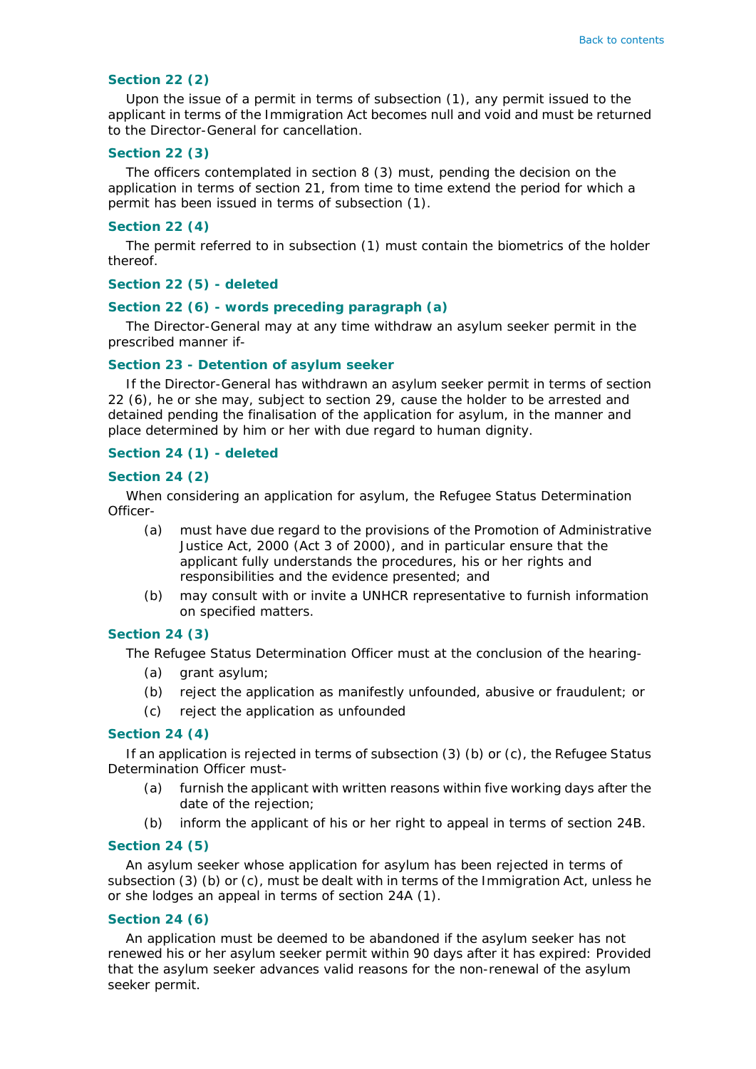### **Section 22 (2)**

Upon the issue of a permit in terms of subsection (1), any permit issued to the applicant in terms of the Immigration Act becomes null and void and must be returned to the Director-General for cancellation.

## **Section 22 (3)**

The officers contemplated in section 8 (3) must, pending the decision on the application in terms of section 21, from time to time extend the period for which a permit has been issued in terms of subsection (1).

#### **Section 22 (4)**

The permit referred to in subsection (1) must contain the biometrics of the holder thereof.

#### **Section 22 (5) - deleted**

### **Section 22 (6) - words preceding paragraph** *(a)*

The Director-General may at any time withdraw an asylum seeker permit in the prescribed manner if-

#### **Section 23 - Detention of asylum seeker**

If the Director-General has withdrawn an asylum seeker permit in terms of section 22 (6), he or she may, subject to section 29, cause the holder to be arrested and detained pending the finalisation of the application for asylum, in the manner and place determined by him or her with due regard to human dignity.

### **Section 24 (1) - deleted**

#### **Section 24 (2)**

When considering an application for asylum, the Refugee Status Determination Officer-

- *(a)* must have due regard to the provisions of the Promotion of Administrative Justice Act, 2000 (Act 3 of 2000), and in particular ensure that the applicant fully understands the procedures, his or her rights and responsibilities and the evidence presented; and
- *(b)* may consult with or invite a UNHCR representative to furnish information on specified matters.

### **Section 24 (3)**

The Refugee Status Determination Officer must at the conclusion of the hearing-

- *(a)* grant asylum;
- *(b)* reject the application as manifestly unfounded, abusive or fraudulent; or
- *(c)* reject the application as unfounded

### **Section 24 (4)**

If an application is rejected in terms of subsection (3) *(b)* or *(c)*, the Refugee Status Determination Officer must-

- *(a)* furnish the applicant with written reasons within five working days after the date of the rejection;
- *(b)* inform the applicant of his or her right to appeal in terms of section 24B.

## **Section 24 (5)**

An asylum seeker whose application for asylum has been rejected in terms of subsection (3) *(b)* or *(c)*, must be dealt with in terms of the Immigration Act, unless he or she lodges an appeal in terms of section 24A (1).

### **Section 24 (6)**

An application must be deemed to be abandoned if the asylum seeker has not renewed his or her asylum seeker permit within 90 days after it has expired: Provided that the asylum seeker advances valid reasons for the non-renewal of the asylum seeker permit.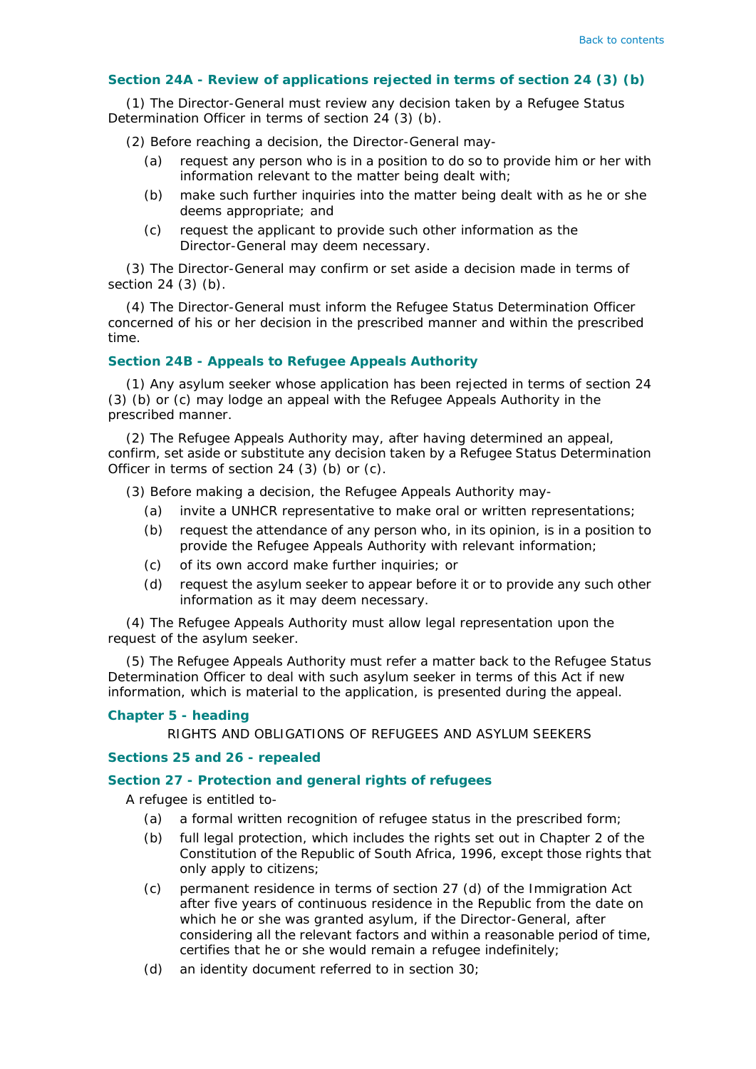## **Section 24A - Review of applications rejected in terms of section 24 (3)** *(b)*

(1) The Director-General must review any decision taken by a Refugee Status Determination Officer in terms of section 24 (3) *(b)*.

(2) Before reaching a decision, the Director-General may-

- *(a)* request any person who is in a position to do so to provide him or her with information relevant to the matter being dealt with;
- *(b)* make such further inquiries into the matter being dealt with as he or she deems appropriate; and
- *(c)* request the applicant to provide such other information as the Director-General may deem necessary.

(3) The Director-General may confirm or set aside a decision made in terms of section 24 (3) *(b)*.

(4) The Director-General must inform the Refugee Status Determination Officer concerned of his or her decision in the prescribed manner and within the prescribed time.

## **Section 24B - Appeals to Refugee Appeals Authority**

(1) Any asylum seeker whose application has been rejected in terms of section 24 (3) *(b)* or *(c)* may lodge an appeal with the Refugee Appeals Authority in the prescribed manner.

(2) The Refugee Appeals Authority may, after having determined an appeal, confirm, set aside or substitute any decision taken by a Refugee Status Determination Officer in terms of section 24 (3) *(b)* or *(c)*.

(3) Before making a decision, the Refugee Appeals Authority may-

- *(a)* invite a UNHCR representative to make oral or written representations;
- *(b)* request the attendance of any person who, in its opinion, is in a position to provide the Refugee Appeals Authority with relevant information;
- *(c)* of its own accord make further inquiries; or
- *(d)* request the asylum seeker to appear before it or to provide any such other information as it may deem necessary.

(4) The Refugee Appeals Authority must allow legal representation upon the request of the asylum seeker.

(5) The Refugee Appeals Authority must refer a matter back to the Refugee Status Determination Officer to deal with such asylum seeker in terms of this Act if new information, which is material to the application, is presented during the appeal.

### **Chapter 5 - heading**

RIGHTS AND OBLIGATIONS OF REFUGEES AND ASYLUM SEEKERS

### **Sections 25 and 26 - repealed**

## **Section 27 - Protection and general rights of refugees**

A refugee is entitled to-

- *(a)* a formal written recognition of refugee status in the prescribed form;
- *(b)* full legal protection, which includes the rights set out in Chapter 2 of the Constitution of the Republic of South Africa, 1996, except those rights that only apply to citizens;
- *(c)* permanent residence in terms of section 27 *(d)* of the Immigration Act after five years of continuous residence in the Republic from the date on which he or she was granted asylum, if the Director-General, after considering all the relevant factors and within a reasonable period of time, certifies that he or she would remain a refugee indefinitely;
- *(d)* an identity document referred to in section 30;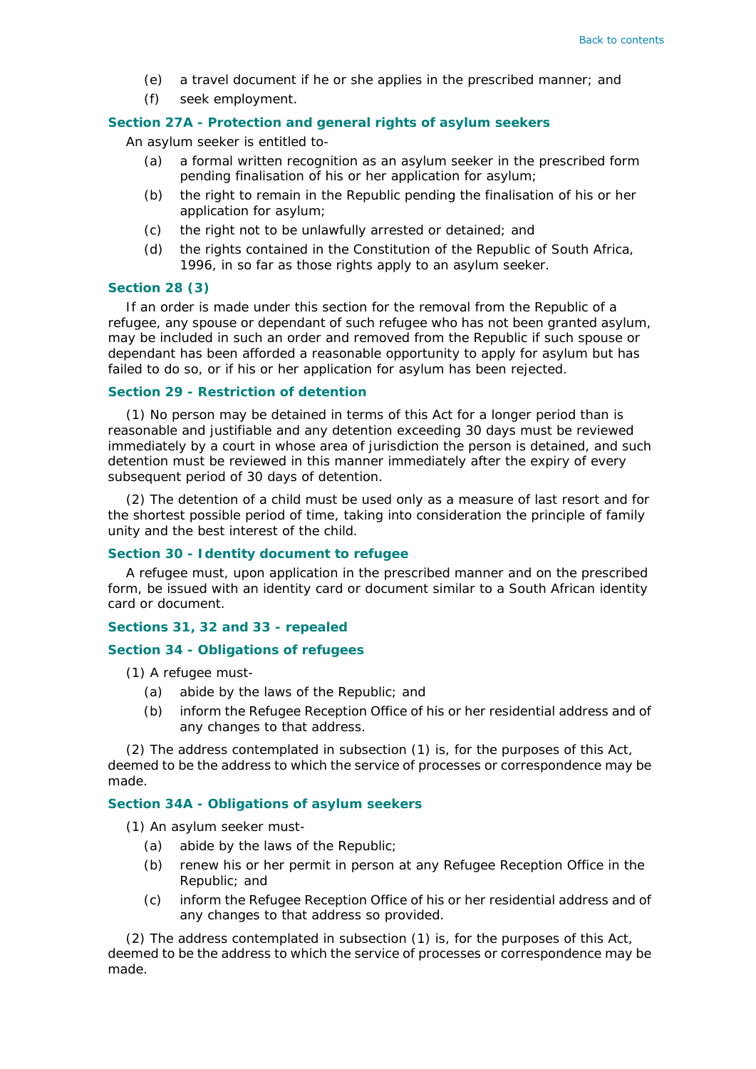- *(e)* a travel document if he or she applies in the prescribed manner; and
- *(f)* seek employment.

## **Section 27A - Protection and general rights of asylum seekers**

An asylum seeker is entitled to-

- *(a)* a formal written recognition as an asylum seeker in the prescribed form pending finalisation of his or her application for asylum;
- *(b)* the right to remain in the Republic pending the finalisation of his or her application for asylum;
- *(c)* the right not to be unlawfully arrested or detained; and
- *(d)* the rights contained in the Constitution of the Republic of South Africa, 1996, in so far as those rights apply to an asylum seeker.

#### **Section 28 (3)**

If an order is made under this section for the removal from the Republic of a refugee, any spouse or dependant of such refugee who has not been granted asylum, may be included in such an order and removed from the Republic if such spouse or dependant has been afforded a reasonable opportunity to apply for asylum but has failed to do so, or if his or her application for asylum has been rejected.

#### **Section 29 - Restriction of detention**

(1) No person may be detained in terms of this Act for a longer period than is reasonable and justifiable and any detention exceeding 30 days must be reviewed immediately by a court in whose area of jurisdiction the person is detained, and such detention must be reviewed in this manner immediately after the expiry of every subsequent period of 30 days of detention.

(2) The detention of a child must be used only as a measure of last resort and for the shortest possible period of time, taking into consideration the principle of family unity and the best interest of the child.

### **Section 30 - Identity document to refugee**

A refugee must, upon application in the prescribed manner and on the prescribed form, be issued with an identity card or document similar to a South African identity card or document.

#### **Sections 31, 32 and 33 - repealed**

#### **Section 34 - Obligations of refugees**

(1) A refugee must-

- *(a)* abide by the laws of the Republic; and
- *(b)* inform the Refugee Reception Office of his or her residential address and of any changes to that address.

(2) The address contemplated in subsection (1) is, for the purposes of this Act, deemed to be the address to which the service of processes or correspondence may be made.

#### **Section 34A - Obligations of asylum seekers**

(1) An asylum seeker must-

- *(a)* abide by the laws of the Republic;
- *(b)* renew his or her permit in person at any Refugee Reception Office in the Republic; and
- *(c)* inform the Refugee Reception Office of his or her residential address and of any changes to that address so provided.

(2) The address contemplated in subsection (1) is, for the purposes of this Act, deemed to be the address to which the service of processes or correspondence may be made.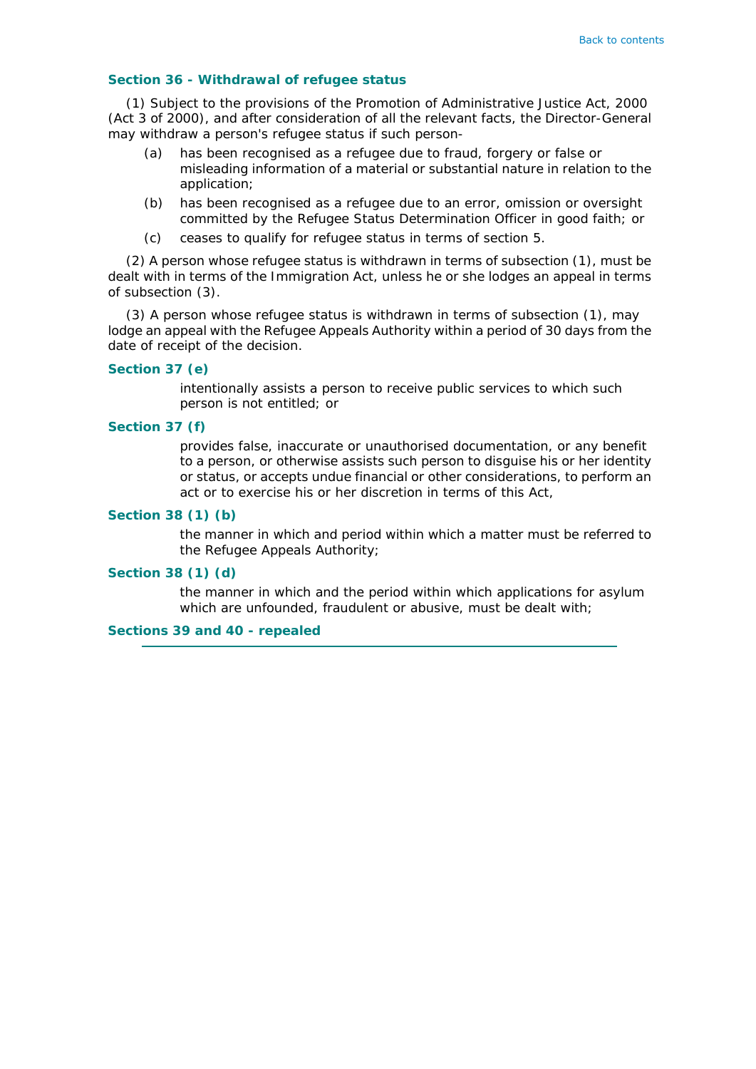## **Section 36 - Withdrawal of refugee status**

(1) Subject to the provisions of the Promotion of Administrative Justice Act, 2000 (Act 3 of 2000), and after consideration of all the relevant facts, the Director-General may withdraw a person's refugee status if such person-

- *(a)* has been recognised as a refugee due to fraud, forgery or false or misleading information of a material or substantial nature in relation to the application;
- *(b)* has been recognised as a refugee due to an error, omission or oversight committed by the Refugee Status Determination Officer in good faith; or
- *(c)* ceases to qualify for refugee status in terms of section 5.

(2) A person whose refugee status is withdrawn in terms of subsection (1), must be dealt with in terms of the Immigration Act, unless he or she lodges an appeal in terms of subsection (3).

(3) A person whose refugee status is withdrawn in terms of subsection (1), may lodge an appeal with the Refugee Appeals Authority within a period of 30 days from the date of receipt of the decision.

## **Section 37** *(e)*

intentionally assists a person to receive public services to which such person is not entitled; or

### **Section 37** *(f)*

provides false, inaccurate or unauthorised documentation, or any benefit to a person, or otherwise assists such person to disguise his or her identity or status, or accepts undue financial or other considerations, to perform an act or to exercise his or her discretion in terms of this Act,

#### **Section 38 (1)** *(b)*

the manner in which and period within which a matter must be referred to the Refugee Appeals Authority;

#### **Section 38 (1)** *(d)*

the manner in which and the period within which applications for asylum which are unfounded, fraudulent or abusive, must be dealt with;

**Sections 39 and 40 - repealed**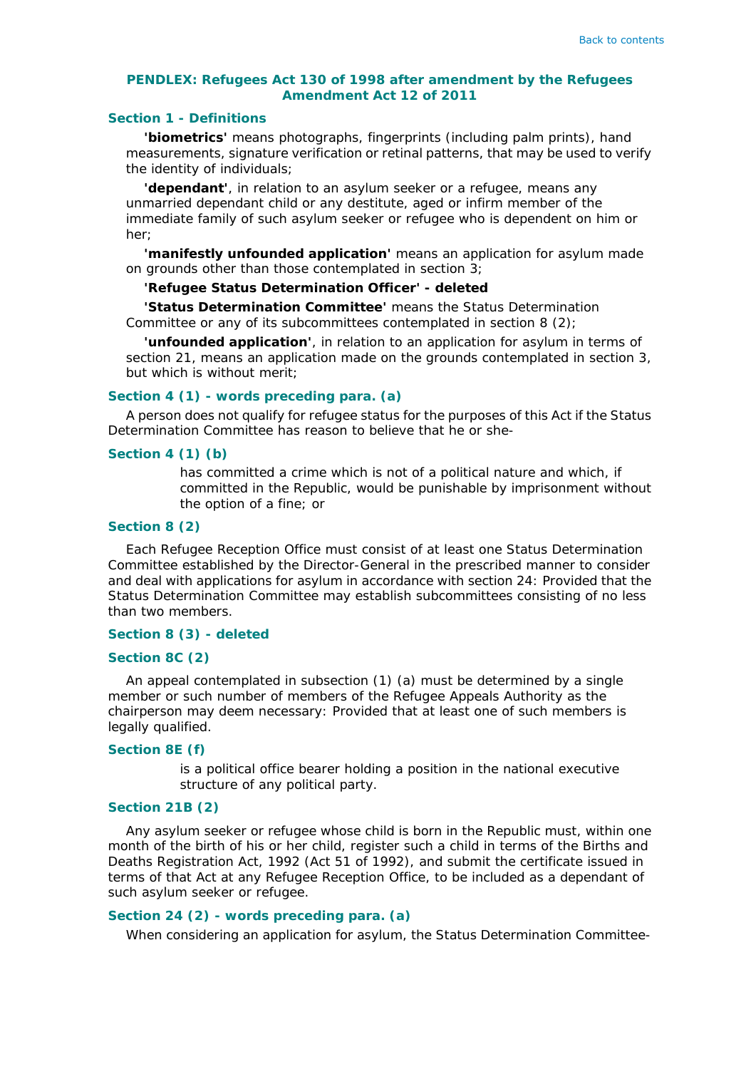### <span id="page-26-0"></span>**PENDLEX:** *Refugees Act 130 of 1998* **after amendment by the Refugees Amendment Act 12 of 2011**

## **Section 1 - Definitions**

**'biometrics'** means photographs, fingerprints (including palm prints), hand measurements, signature verification or retinal patterns, that may be used to verify the identity of individuals;

**'dependant'**, in relation to an asylum seeker or a refugee, means any unmarried dependant child or any destitute, aged or infirm member of the immediate family of such asylum seeker or refugee who is dependent on him or her;

**'manifestly unfounded application'** means an application for asylum made on grounds other than those contemplated in section 3;

### **'Refugee Status Determination Officer' - deleted**

**'Status Determination Committee'** means the Status Determination Committee or any of its subcommittees contemplated in section 8 (2);

**'unfounded application'**, in relation to an application for asylum in terms of section 21, means an application made on the grounds contemplated in section 3, but which is without merit;

## **Section 4 (1) - words preceding para.** *(a)*

A person does not qualify for refugee status for the purposes of this Act if the Status Determination Committee has reason to believe that he or she-

### **Section 4 (1)** *(b)*

has committed a crime which is not of a political nature and which, if committed in the Republic, would be punishable by imprisonment without the option of a fine; or

## **Section 8 (2)**

Each Refugee Reception Office must consist of at least one Status Determination Committee established by the Director-General in the prescribed manner to consider and deal with applications for asylum in accordance with section 24: Provided that the Status Determination Committee may establish subcommittees consisting of no less than two members.

## **Section 8 (3) - deleted**

### **Section 8C (2)**

An appeal contemplated in subsection (1) *(a)* must be determined by a single member or such number of members of the Refugee Appeals Authority as the chairperson may deem necessary: Provided that at least one of such members is legally qualified.

### **Section 8E** *(f)*

is a political office bearer holding a position in the national executive structure of any political party.

## **Section 21B (2)**

Any asylum seeker or refugee whose child is born in the Republic must, within one month of the birth of his or her child, register such a child in terms of the Births and Deaths Registration Act, 1992 (Act 51 of 1992), and submit the certificate issued in terms of that Act at any Refugee Reception Office, to be included as a dependant of such asylum seeker or refugee.

#### **Section 24 (2) - words preceding para.** *(a)*

When considering an application for asylum, the Status Determination Committee-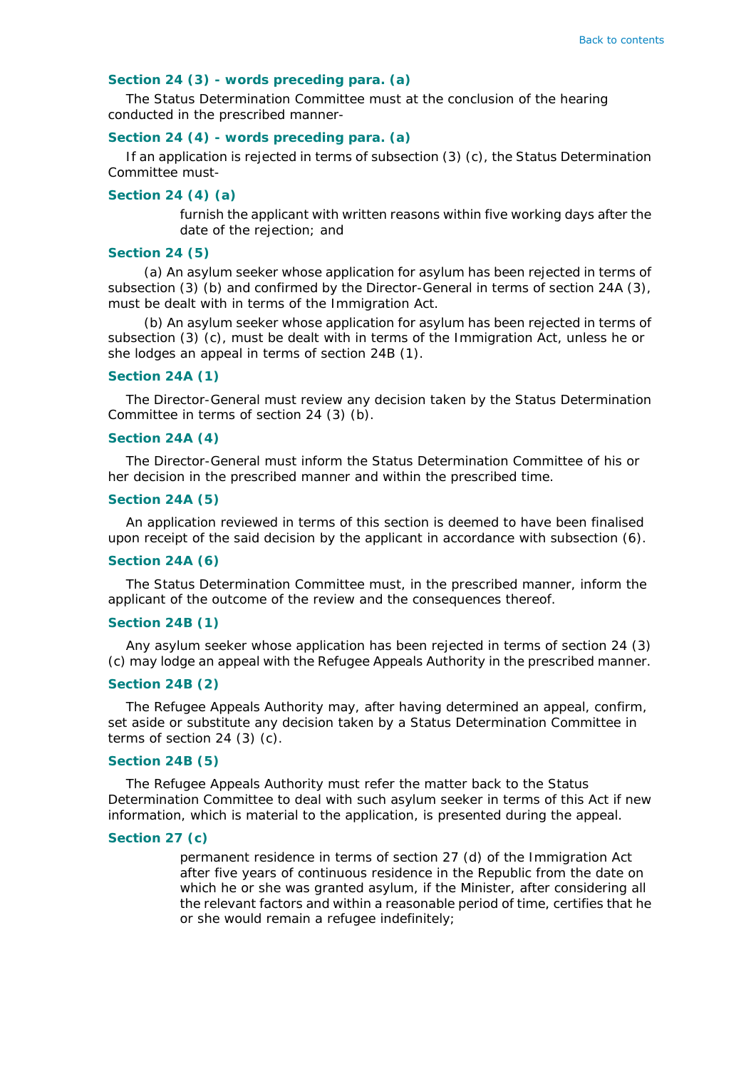## **Section 24 (3) - words preceding para.** *(a)*

The Status Determination Committee must at the conclusion of the hearing conducted in the prescribed manner-

## **Section 24 (4) - words preceding para.** *(a)*

If an application is rejected in terms of subsection (3) *(c)*, the Status Determination Committee must-

## **Section 24 (4)** *(a)*

furnish the applicant with written reasons within five working days after the date of the rejection; and

#### **Section 24 (5)**

*(a)* An asylum seeker whose application for asylum has been rejected in terms of subsection (3) *(b)* and confirmed by the Director-General in terms of section 24A (3), must be dealt with in terms of the Immigration Act.

*(b)* An asylum seeker whose application for asylum has been rejected in terms of subsection (3) *(c)*, must be dealt with in terms of the Immigration Act, unless he or she lodges an appeal in terms of section 24B (1).

## **Section 24A (1)**

The Director-General must review any decision taken by the Status Determination Committee in terms of section 24 (3) *(b)*.

### **Section 24A (4)**

The Director-General must inform the Status Determination Committee of his or her decision in the prescribed manner and within the prescribed time.

## **Section 24A (5)**

An application reviewed in terms of this section is deemed to have been finalised upon receipt of the said decision by the applicant in accordance with subsection (6).

### **Section 24A (6)**

The Status Determination Committee must, in the prescribed manner, inform the applicant of the outcome of the review and the consequences thereof.

#### **Section 24B (1)**

Any asylum seeker whose application has been rejected in terms of section 24 (3) *(c)* may lodge an appeal with the Refugee Appeals Authority in the prescribed manner.

#### **Section 24B (2)**

The Refugee Appeals Authority may, after having determined an appeal, confirm, set aside or substitute any decision taken by a Status Determination Committee in terms of section 24 (3) *(c)*.

#### **Section 24B (5)**

The Refugee Appeals Authority must refer the matter back to the Status Determination Committee to deal with such asylum seeker in terms of this Act if new information, which is material to the application, is presented during the appeal.

#### **Section 27** *(c)*

permanent residence in terms of section 27 *(d)* of the Immigration Act after five years of continuous residence in the Republic from the date on which he or she was granted asylum, if the Minister, after considering all the relevant factors and within a reasonable period of time, certifies that he or she would remain a refugee indefinitely;